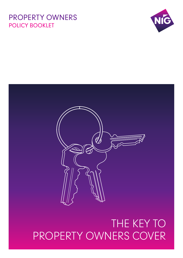# THE KEY TO PROPERTY OWNERS COVER





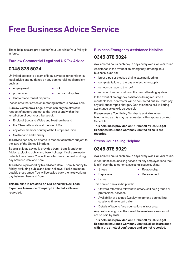# **Free Business Advice Service**

These helplines are provided for Your use whilst Your Policy is in force.

# **Eurolaw Commercial Legal and UK Tax Advice**

# **0345 878 5024**

Unlimited access to a team of legal advisors, for confidential legal advice and guidance on any commercial legal problem such as:

- employment **●** VAT
- 
- 
- prosecution **●** contract disputes
- landlord and tenant disputes.

Please note that advice on motoring matters is not available.

Eurolaw Commercial Legal advice can only be offered in respect of matters subject to the laws of and within the jurisdiction of courts or tribunals of:

- England Scotland Wales and Northern Ireland
- **●** the Channel Islands and the Isle of Man
- **●** any other member country of the European Union
- **●** Switzerland and Norway

Tax advice can only be offered in respect of matters subject to the laws of the United Kingdom.

Specialist legal advice is provided 9am - 5pm, Monday to Friday, excluding public and bank holidays. If calls are made outside these times, You will be called back the next working day between 9am and 5pm.

Tax advice is provided by tax advisors 9am – 5pm, Monday to Friday, excluding public and bank holidays. If calls are made outside these times, You will be called back the next working day between 9am and 5pm.

**This helpline is provided on Our behalf by DAS Legal Expenses Insurance Company Limited all calls are recorded.**

# **Business Emergency Assistance Helpline**

# **0345 878 5024**

Available 24 hours each day, 7 days every week, all year round.

Assistance in the event of an emergency affecting Your business, such as:

- **●** burst pipes or blocked drains causing flooding
- **●** complete failure of the gas or electricity supply
- serious damage to the roof
- **●** escape of water or oil from the central heating system

In the event of emergency assistance being required a reputable local contractor will be contacted but You must pay any call-out or repair charges. One telephone call will bring assistance as quickly as possible.

Please ensure Your Policy Number is available when telephoning as this may be requested – this appears on Your Schedule.

**This helpline is provided on Our behalf by DAS Legal Expenses Insurance Company Limited all calls are recorded.**

# **Stress Counselling Helpline**

# **0345 878 5029**

Available 24 hours each day, 7 days every week, all year round.

A confidential counselling service for any employee (and their family) over the telephone, assisting issues such as:

- - **●** Stress **●** Relationship
- 
- **Depression •** Bereavement
- **●** Family

This service can also help with:

- **●** Onward referral to relevant voluntary, self help groups or professional services
- **●** Availability of planned (weekly) telephone counselling sessions, time to suit caller
- Details of face to face counsellors in Your area

Any costs arising from the use of these referral services will not be paid by DAS.

**This helpline is provided on Our behalf by DAS Legal Expenses Insurance Company Limited, all calls are dealt with in the strictest confidence and are not recorded.**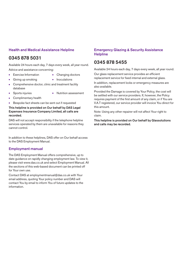# **Health and Medical Assistance Helpline**

# **0345 878 5031**

Available 24 hours each day, 7 days every week, all year round. Advice and assistance concerning:

- **●** Exercise Information **●** Changing doctors
- **●** Giving up smoking **●** Inoculations
- **●** Comprehensive doctor, clinic and treatment facility database
- 
- **●** Sports injuries **●** Nutrition assessment
- **●** Complimentary health
- Bespoke fact sheets can be sent out if requested

# **This helpline is provided on Our behalf by DAS Legal Expenses Insurance Company Limited, all calls are recorded.**

DAS will not accept responsibility if the telephone helpline services operated by them are unavailable for reasons they cannot control.

In addition to these helplines, DAS offer on Our behalf access to the DAS Employment Manual.

# **Employment manual**

The DAS Employment Manual offers comprehensive, up to date guidance on rapidly changing employment law. To view it, please visit www.das.co.uk and select Employment Manual. All the sections of this web-based document can be printed off for Your own use.

Contact DAS at employmentmanual@das.co.uk with Your email address, quoting Your policy number and DAS will contact You by email to inform You of future updates to the information.

# **Emergency Glazing & Security Assistance Helpline**

# **0345 878 5455**

Available 24 hours each day, 7 days every week, all year round.

Our glass replacement service provides an efficient replacement service for fixed internal and external glass.

In addition, replacement locks or emergency measures are also available.

Provided the Damage is covered by Your Policy, the cost will be settled with our service providers. If, however, the Policy requires payment of the first amount of any claim, or if You are V.A.T registered, our service provider will invoice You direct for this amount.

Note: Using any other repairer will not affect Your right to claim.

**This helpline is provided on Our behalf by Glassolutions and calls may be recorded.**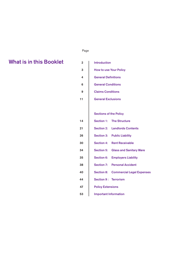# ل المستخدم المستخدم المستخدم المستخدم المستخدم المستخدم المستخدم المستخدم المستخدم المستخدم المستخدم المستخدم ا

# **2 What is in this Booklet**

| in this Booklet | $\overline{2}$ | <b>Introduction</b>                                   |
|-----------------|----------------|-------------------------------------------------------|
|                 | 3              | <b>How to use Your Policy</b>                         |
|                 | 4              | <b>General Definitions</b>                            |
|                 | 6              | <b>General Conditions</b>                             |
|                 | 9              | <b>Claims Conditions</b>                              |
|                 | 11             | <b>General Exclusions</b>                             |
|                 |                |                                                       |
|                 |                | <b>Sections of the Policy</b>                         |
|                 | 14             | <b>Section 1:</b><br><b>The Structure</b>             |
|                 | 21             | <b>Landlords Contents</b><br><b>Section 2:</b>        |
|                 | 26             | <b>Section 3:</b><br><b>Public Liability</b>          |
|                 | 30             | <b>Section 4:</b><br><b>Rent Receivable</b>           |
|                 | 34             | <b>Glass and Sanitary Ware</b><br><b>Section 5:</b>   |
|                 | 35             | <b>Employers Liability</b><br><b>Section 6:</b>       |
|                 | 38             | <b>Section 7:</b><br><b>Personal Accident</b>         |
|                 | 40             | <b>Section 8:</b><br><b>Commercial Legal Expenses</b> |
|                 | 44             | <b>Section 9: Terrorism</b>                           |
|                 | 47             | <b>Policy Extensions</b>                              |
|                 | 53             | <b>Important Information</b>                          |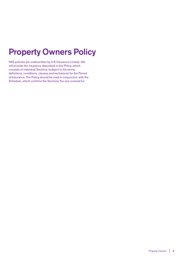# **Property Owners Policy**

NIG policies are underwritten by U K Insurance Limited. We will provide the insurance described in this Policy, which consists of individual Sections (subject to the terms, definitions, conditions, clauses and exclusions) for the Period of Insurance. The Policy should be read in conjunction with the Schedule, which confirms the Sections You are covered for.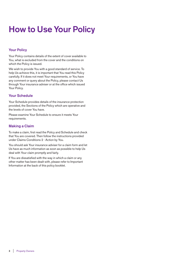# **How to Use Your Policy**

# **Your Policy**

Your Policy contains details of the extent of cover available to You, what is excluded from the cover and the conditions on which the Policy is issued.

We wish to provide You with a good standard of service. To help Us achieve this, it is important that You read this Policy carefully. If it does not meet Your requirements, or You have any comment or query about the Policy, please contact Us through Your insurance adviser or at the office which issued Your Policy.

# **Your Schedule**

Your Schedule provides details of the insurance protection provided, the Sections of the Policy which are operative and the levels of cover You have.

Please examine Your Schedule to ensure it meets Your requirements.

# **Making a Claim**

To make a claim, first read the Policy and Schedule and check that You are covered. Then follow the instructions provided under Claims Conditions 2 - Action by You.

You should ask Your insurance adviser for a claim form and let Us have as much information as soon as possible to help Us deal with Your claim promptly and fairly.

If You are dissatisfied with the way in which a claim or any other matter has been dealt with, please refer to Important Information at the back of this policy booklet.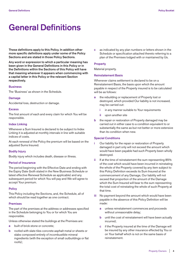# **General Definitions**

**These definitions apply to this Policy. In addition other more specific definitions apply under some of the Policy Sections and are stated in those Policy Sections.**

**Any word or expression to which a particular meaning has been given in the General Definitions in this Policy or in the Definitions within the Sections of this Policy will have that meaning wherever it appears when commencing with a capital letter in this Policy or the relevant Section respectively.**

#### **Business**

The 'Business' as shown in the Schedule.

#### **Damage**

Accidental loss, destruction or damage.

#### **Excess**

The first amount of each and every claim for which You will be responsible.

#### **Index Linking**

Whenever a Sum Insured is declared to be subject to Index Linking it is adjusted at monthly intervals in line with suitable indices of costs.

At each renewal of the Policy the premium will be based on the adjusted Sums Insured.

#### **Bodily Injury**

Bodily injury which includes death, disease or illness.

# **Period of Insurance**

The period beginning with the Effective Date and ending with the Expiry Date (both stated in the New Business Schedule or latest effective Renewal Schedule as applicable) and any subsequent period for which You will pay and We will agree to accept Your premium.

#### **Policy**

This Policy including the Sections, and, the Schedule, all of which should be read together as one contract.

#### **Premises**

The part of the premises at the address or addresses specified in the Schedule belonging to You or for which You are responsible.

Unless otherwise stated the buildings at the Premises are:

- **a** built of brick stone or concrete;
- **b** roofed with slate tiles concrete asphalt metal or sheets or slabs composed entirely of incombustible mineral ingredients (with the exception of small outbuildings or flat roofs);

**c** as indicated by any plan numbers or letters shown in the Schedule or specification attached thereto referring to a plan of the Premises lodged with or maintained by Us.

# **Property**

Material property.

# **Reinstatement Basis**

Whenever claims settlement is declared to be on a Reinstatement Basis, the basis upon which the amount payable in respect of the Property insured is to be calculated will be as follows:

- **a** the rebuilding or replacement of Property lost or destroyed, which provided Our liability is not increased, may be carried out:
	- **i** in any manner suitable to Your requirements
	- **ii** upon another site
- **b** the repair or restoration of Property damaged may be carried out in either case to a condition equivalent to or substantially the same as but not better or more extensive than its condition when new.

#### **Special Conditions**

- **i** Our liability for the repair or restoration of Property damaged in part only will not exceed the amount which would have been payable had such Property been wholly destroyed.
- **ii** If at the time of reinstatement the sum representing 85% of the cost which would have been incurred in reinstating the whole of the Property covered by any item subject to this Policy Definition exceeds its Sum Insured at the commencement of any Damage, Our liability will not exceed that proportion of the amount of the Damage which the Sum Insured will bear to the sum representing the total cost of reinstating the whole of such Property at that time.
- **iii** No payment beyond the amount which would have been payable in the absence of this Policy Definition will be made:
	- **a** unless reinstatement commences and proceeds without unreasonable delay;
	- **b** until the cost of reinstatement will have been actually incurred;
	- **c** if the Property insured at the time of the Damage will be insured by any other insurance effected by You or on Your behalf which is not on the same basis of reinstatement.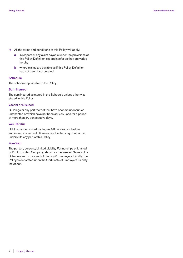- **iv** All the terms and conditions of this Policy will apply:
	- **a** in respect of any claim payable under the provisions of this Policy Definition except insofar as they are varied hereby;
	- **b** where claims are payable as if this Policy Definition had not been incorporated.

# **Schedule**

The schedule applicable to the Policy.

# **Sum Insured**

The sum insured as stated in the Schedule unless otherwise stated in this Policy.

# **Vacant or Disused**

Buildings or any part thereof that have become unoccupied, untenanted or which have not been actively used for a period of more than 30 consecutive days.

# **We/Us/Our**

U K Insurance Limited trading as NIG and/or such other authorised insurer as U K Insurance Limited may contract to underwrite any part of this Policy.

# **You/Your**

The person, persons, Limited Liability Partnerships or Limited or Public Limited Company, shown as the Insured Name in the Schedule and, in respect of Section 6: Employers Liability, the Policyholder stated upon the Certificate of Employers Liability Insurance.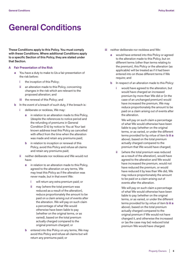# **General Conditions**

**These Conditions apply to this Policy. You must comply with these Conditions. Where additional Conditions apply to a specific Section of this Policy, they are stated under that Section.**

# **A Fair Presentation of the Risk**

- **a** You have a duty to make to Us a fair presentation of the risk before:
	- **i** the inception of this Policy;
	- **ii** an alteration made to this Policy, concerning changes in the risk which are relevant to the proposed alteration; and
	- **iii** the renewal of this Policy; and
- In the event of a breach of such duty, if the breach is:
	- **i** deliberate or reckless. We may:
		- **a** in relation to an alteration made to this Policy, (despite the references to notice period and the refunding of premiums in General Condition D b) by notice to You at Your last known address treat this Policy as cancelled with effect from the time when the alteration was made and retain any premiums paid;
		- **b** in relation to inception or renewal of this Policy, avoid this Policy and refuse all claims and retain any premiums paid;
	- **ii** neither deliberate nor reckless and We would not have:
		- **a** in relation to an alteration made to this Policy, agreed to the alteration on any terms, We may treat this Policy as if the alteration was never made, but in that event We:
			- **i** will return any extra premium paid; or
			- **ii** may (where the total premium was reduced as a result of the alteration), reduce proportionately the amount to be paid on a claim arising out of events after the alteration. We will pay on such claim a percentage of what We would otherwise have been liable to pay (whether on the original terms, or as varied), based on the total premium actually charged compared to the original premium charged; or
		- **b** entered into this Policy on any terms, We may avoid this Policy and refuse all claims but will return any premiums paid; or
- **iii** neither deliberate nor reckless and We:
	- **a** would have entered into this Policy or agreed to the alteration made to this Policy, but on different terms (other than terms relating to the premium), this Policy or the alteration (as applicable) will be treated as if it had been entered into on those different terms if We require; and
	- **b** In respect of an alteration made to this Policy:
		- **i** would have agreed to the alteration, but would have charged an increased premium by more than We did or (in the case of an unchanged premium) would have increased the premium, We may reduce proportionately the amount to be paid on a claim arising out of events after the alteration.

 We will pay on such claim a percentage of what We would otherwise have been liable to pay (whether on the original terms, or as varied, or under the different terms provided for by virtue of item **b iii a** above), based on the total premium actually charged compared to the premium that We would have charged;

 **ii** (where the total premium was reduced as a result of the alteration), would have agreed to the alteration and We would have increased the premium, would not have reduced the premium, or would have reduced it by less than We did, We may reduce proportionately the amount to be paid on a claim arising out of events after the alteration.

 We will pay on such claim a percentage of what We would otherwise have been liable to pay (whether on the original terms, or as varied, or under the different terms provided for by virtue of item **b iii a** above), based on the total premium actually charged compared to the original premium if We would not have changed it, and otherwise the increased or (as the case may be) reduced total premium We would have charged.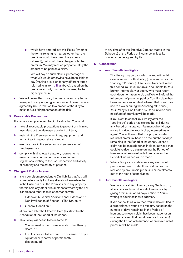**c** would have entered into this Policy (whether the terms relating to matters other than the premium would have been the same or different), but would have charged a higher premium, We may reduce proportionately the amount to be paid on a claim.

 We will pay on such claim a percentage of what We would otherwise have been liable to pay (making provision for any different terms referred to in item **b iii a** above), based on the premium actually charged compared to the higher premium.

 **c** We will be entitled to vary the premium and any terms in respect of any ongoing acceptance of cover (where agreed by Us), in relation to a breach of the duty to make to Us a fair presentation of the risk.

# **B Reasonable Precautions**

It is a condition precedent to Our liability that You must:

- **a** take all reasonable precautions to prevent or minimise loss, destruction, damage, accident or injury;
- **b** maintain the Premises, machinery, equipment and furnishings in a good state of repair;
- **c** exercise care in the selection and supervision of Employees; and
- **d** comply with all relevant statutory requirements, manufacturers recommendations and other regulations relating to the use, inspection and safety of property and the safety of persons.

# **C Change of Risk or Interest**

- **a** It is a condition precedent to Our liability that You will immediately notify Us if any alteration be made either in the Business or at the Premises or in any property therein or in any other circumstances whereby the risk is increased other than in accordance with:
	- **i** Extension 5 Capital Additions and Extension 11 Non Invalidation of Section 1: The Structure
	- **ii** General Condition A,

 at any time after the Effective Date (as stated in the Schedule) of the Period of Insurance.

- **b** This Policy will cease to be in force if:
	- **i** Your interest in the Business ends, other than by death; or
	- **ii** the Business is to be wound up or carried on by a liquidator or receiver or permanently discontinued,

 at any time after the Effective Date (as stated in the Schedule) of the Period of Insurance, unless its continuance be agreed by Us.

# **D Cancellation**

# **a Your Cancellation Rights**

- **i** This Policy may be cancelled by You within 14 days of receipt of this Policy (this is known as the "cooling off" period). If You elect to cancel within this period You must return all documents to Your broker, intermediary or agent, who must return such documentation to Us and We will refund the full amount of premium paid by You. If a claim has been made or an incident advised that could give rise to a claim during the "cooling off" period, Your Policy will be treated by Us as in force and no refund of premium will be made.
- **ii** If You elect to cancel Your Policy after the "cooling off" period has expired but still during any Period of Insurance. You must give 14 days' notice in writing to Your broker, intermediary or agent. You will be entitled to a proportionate refund of premium, based on the number of days remaining in the Period of Insurance, unless a claim has been made (or an incident advised that could give rise to a claim) during the Period of Insurance when no refund of premium for the Period of Insurance will be made.
- **iii** Where You pay by instalments any amount of premium returned under this condition will be reduced by any unpaid premiums or instalments due at the time of cancellation.

# **b Our Cancellation Rights**

- **i** We may cancel Your Policy (or any Section of it) at any time and in any Period of Insurance by giving a minimum of 14 days' notice to You in writing at Your last known address.
- **ii** If We cancel this Policy then You will be entitled to a proportionate refund of premium, based on the number of days remaining in the Period of Insurance, unless a claim has been made (or an incident advised that could give rise to a claim) during the Period of Insurance when no refund of premium will be made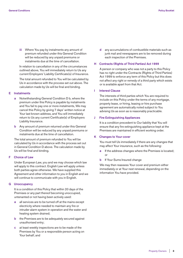**iii** Where You pay by instalments any amount of premium refunded under this General Condition will be reduced by any unpaid premiums or instalments due at the time of cancellation.

 In relation to cancellation in any of the circumstances outlined above, You will immediately return to Us any current Employers' Liability Certificate(s) of Insurance.

 The total amount refunded to You will be calculated by Us in accordance with the process set out above. The calculation made by Us will be final and binding.

# **E Instalments**

- **a** Notwithstanding General Condition D b, where the premium under this Policy is payable by instalments and You fail to pay one or more instalments, We may cancel this Policy by giving 7 days' written notice at Your last known address, and You will immediately return to Us any current Certificate(s) of Employers Liability Insurance.
- **b** Any amount of premium returned under this General Condition will be reduced by any unpaid premiums or instalments due at the time of cancellation.

 The total amount of premium refunded to You will be calculated by Us in accordance with the process set out in General Condition D above. The calculation made by Us will be final and binding.

# **F Choice of Law**

 Under European Law, you and we may choose which law will apply to this contract. English Law will apply unless both parties agree otherwise. We have supplied this Agreement and other information to you in English and we will continue to communicate with you in English.

#### **G Unoccupancy**

 It is a condition of this Policy that within 20 days of the Premises or any part thereof becoming unoccupied, untenanted or not having been actively used:

- **a** all services are to be turned off at the mains except electricity where needed to maintain any fire or intruder alarm system in operation and the water and heating system drained;
- **b** the Premises are to be adequately secured against unauthorised entry;
- **c** at least weekly inspections are to be made of the Premises by You or a responsible person acting on Your behalf; and

 **d** any accumulations of combustible materials such as junk mail and newspapers are to be removed during each inspection of the Premises.

# **H Contracts (Rights of Third Parties) Act 1999**

 A person or company who was not a party to this Policy has no right under the Contracts (Rights of Third Parties) Act 1999 to enforce any term of this Policy but this does not affect any right or remedy of a third party which exists or is available apart from that Act.

# **I Interest Clause**

 The interests of third parties which You are required to include on this Policy under the terms of any mortgage, property lease, or hiring, leasing or hire purchase agreement are automatically noted subject to You advising Us as soon as is reasonably practicable.

#### **J Fire Extinguishing Appliances**

 It is a condition precedent to Our liability that You will ensure that any fire extinguishing appliance kept at the Premises are maintained in efficient working order.

# **K Changes to Your cover**

 You must tell Us immediately if there are any changes that may affect Your insurance, such as the following:

- **a** If the address changes where the Premises is located; or
- **b** If Your Sums Insured change

 We may then reassess Your cover and premium either immediately or at Your next renewal, depending on the information You have provided.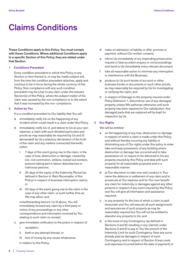# **Claims Conditions**

**These Conditions apply to this Policy. You must comply with these Conditions. Where additional Conditions apply to a specific Section of this Policy, they are stated under that Section.**

## **1 Conditions Precedent**

 Every condition precedent to which this Policy or any Section or item thereof is, or may be, made subject will, from the time the condition precedent attaches, apply and continue to be in force during the whole currency of this Policy. Non-compliance with any such condition precedent may be a bar to any claim under the relevant Section(s) of this Policy, where the subject matter of the claim was caused by the non-compliance or to the extent that it was increased by the non- compliance.

# **2 Action by You**

It is a condition precedent to Our liability that You will:

- **a** immediately notify Us on the happening of any incident which could result in a claim under this Policy.
- **b** immediately notify Us of, and deliver to Us at your own expense, a claim with such detailed particulars and proofs as may reasonably be required by Us and (if demanded) by Us a statutory declaration of the truth of the claim and any matters connected therewith, within:
	- **i** 7 days of the event giving rise to the claim, in the case of loss, destruction or damage, caused by riot, civil commotion, strikers, locked out workers, persons taking part in labour disturbances or malicious persons;
	- **ii** 30 days of the expiry of the Indemnity Period (as defined in Section 4: Rent Receivable, of this Policy) in respect of business interruption claims; or
	- **iii** 30 days of the event giving rise to the claim in the case of any other claim, or such further time as We may allow; and

 notwithstanding items b **i** to **iii** above, You will immediately forward any claim by a third party or notice of any proceedings or any other correspondence and information received by You relating to such claim on receipt;

- **c** give immediate notification to the police in respect of:
	- **i** vandalism;
	- **ii** theft or any attempt thereat; or
	- **iii** loss of money by any cause whatsoever, in relation to this Policy;
- **d** make no admission of liability or offer, promise or payment, without Our written consent;
- **e** inform Us immediately of any impending prosecution, inquest or fatal accident enquiry or civil proceedings and send to Us immediately every relevant document;
- **f** take all reasonable action to minimise any interruption or interference with the Business;
- **g** produce to Us such books of account or other business books or documents or such other proofs, as may reasonably be required by Us for investigating or verifying the claim; and
- **h** in respect of Damage to the property insured under Policy Extension 1, discontinue use of any damaged property unless We authorise otherwise until such property has been repaired to Our satisfaction. Any damaged parts that are replaced will be kept for inspection by Us.

# **3 Our Rights**

We will be entitled:

- **a** on the happening of any loss, destruction or damage in respect of which a claim is made under this Policy, and without thereby incurring any liability or diminishing any of Our rights under this policy to enter take and keep possession of any building where destruction or damage has occurred and to take possession of, or require to be delivered to Us any property insured by this Policy and deal with such property for all reasonable purposes and in a reasonable manner;
- **b** at Our discretion to take over and conduct in Your name the defence or settlement of any claim and to prosecute at Our expense and for Our own benefit any claim for indemnity or damages against any other persons in respect of any event insured by this Policy and You will give all information and assistance required;
- **c** to any property for the loss of which a claim is paid hereunder and You will execute all such assignments and assurances of such property as may be reasonably required but You will not be entitled to abandon any property to Us; and
- **d** in the event of any Contingency (as defined in Sections 3 and 6) resulting in any claim(s) under Sections 3 and 6 to pay to You the amount of the Indemnity Limit for such Contingency (less any sums already paid as damages in respect of such Contingency and in respect of Section 6 less costs and expenses incurred before the date of payment) or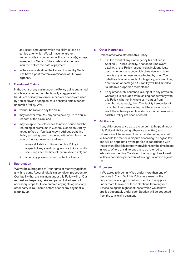any lesser amount for which the claim(s) can be settled after which We will have no further responsibility in connection with such claim(s) except in respect of Section 3 for costs and expenses incurred before the date of payment

in the case of death of the Person Insured by Section 7 to have a post-mortem examination at Our own expense.

# **4 Fraudulent Claims**

 In the event of any claim under the Policy being submitted which in any respect is intentionally exaggerated or fraudulent or if any fraudulent means or devices are used by You or anyone acting on Your behalf to obtain benefit under this Policy, We:

- **a** will not be liable to pay the claim;
- **b** may recover from You any sums paid by Us to You in respect of the claim; and
- **c** may (despite the references to notice period and the refunding of premiums in General Condition D b) by notice to You at Your last known address treat this Policy as having been cancelled with effect from the time of the fraudulent act and may:
	- **i** refuse all liability to You under this Policy in respect of any event that gives rise to Our liability occurring after the time of the fraudulent act; and
	- **ii** retain any premiums paid under this Policy.

# **5 Subrogation**

 We will be subrogated to Your rights of recovery against any third party. Accordingly, it is a condition precedent to Our liability that any claimant under this Policy will, at Our request and expense, take and permit to be taken all necessary steps for Us to enforce any rights against any other party in Your name before or after any payment is made by Us.

#### **6 Other Insurances**

Unless otherwise stated in this Policy:

- **a** if at the event of any Contingency (as defined in Section 3: Public Liability, Section 6: Employers Liability, of this Policy respectively), incident, loss, destruction or damage, which gives rise to a claim, there is any other insurance effected by or on Your behalf applicable to such Contingency, incident, loss, destruction or damage, Our liability will be limited to its rateable proportion thereof; and
- if any other such insurance is subject to any provision whereby it is excluded from ranking concurrently with this Policy, whether in whole or in part or from contributing rateably, then Our liability hereunder will be limited to any excess beyond the amount which would have been payable under such other insurance had this Policy not been effected.

# **7 Arbitration**

 If any differences arise as to the amount to be paid under this Policy (liability being otherwise admitted) such difference will be referred to an arbitrator in England who will decide the matter in dispute according to English law and will be appointed by the parties in accordance with the relevant English statutory provisions for the time being in force. Where any difference is to be referred to arbitration under this Condition, the making of an Award will be a condition precedent of any right of action against Us.

# **8 Excesses**

 If We agree to indemnify You under more than one of Sections 1, 2 and 5 of this Policy as a result of the happening of a single event and if an Excess applies under more than one of these Sections then only one Excess being the highest of those which would have applied separately under each Section will be deducted from the total claim payment.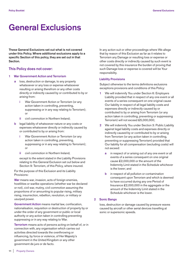# **General Exclusions**

**These General Exclusions set out what is not covered under this Policy. Where additional exclusions apply to a specific Section of this policy, they are set out in that Section.**

# **This Policy does not cover:**

#### **1 War Government Action and Terrorism**

- **a** loss, destruction or damage, to any property whatsoever or any loss or expense whatsoever resulting or arising therefrom or any other costs directly or indirectly caused by or contributed to by or arising from:
	- **i** War Government Action or Terrorism (or any action taken in controlling, preventing, suppressing or in any way relating to Terrorism); or
	- **ii** civil commotion in Northern Ireland;
- **b** legal liability of whatsoever nature or any costs or expenses whatsoever directly or indirectly caused by or contributed to by or arising from:
	- **i** War Government Action or Terrorism (or any action taken in controlling, preventing, suppressing or in any way relating to Terrorism); or
	- **ii** civil commotion in Northern Ireland.

 except to the extent stated in the Liability Provisions relating to this General Exclusion set out below and Section 9: Terrorism, of this Policy, where insured.

 For the purpose of this Exclusion and its Liability Provisions:

 **War** means war, invasion, acts of foreign enemies, hostilities or warlike operations (whether war be declared or not), civil war, mutiny, civil commotion assuming the proportions of or amounting to popular rising, military rising, insurrection, rebellion, revolution, or military or usurped power.

 **Government Action** means martial law, confiscation, nationalisation, requisition or destruction of property by or under the order of any government or public or local authority or any action taken in controlling preventing suppressing or in any way relating to War.

 **Terrorism** means acts of persons acting on behalf of, or in connection with, any organisation which carries out activities directed towards the overthrowing or influencing, by force or violence, of Her Majesty's government in the United Kingdom or any other government de jure or de facto.

 In any action suit or other proceedings where We allege that by reason of this Exclusion as far as it relates to Terrorism any Damage or resulting loss or expense or other costs directly or indirectly caused by such event is not covered by this insurance the burden of proving that such Damage loss or expense is covered will be Your responsibility.

# **Liability Provisions**

 Subject otherwise to the terms definitions exclusions exceptions provisions and conditions of this Policy:

- **1** We will indemnify You under Section 6: Employers Liability provided that in respect of any one event or all events of a series consequent on one original cause Our liability in respect of all legal liability costs and expenses directly or indirectly caused by or contributed to by or arising from Terrorism (or any action taken in controlling, preventing or suppressing Terrorism) will not exceed £5,000,000;
- **2** We will indemnify You under Section 3: Public Liability against legal liability costs and expenses directly or indirectly caused by or contributed to by or arising from Terrorism (or any action taken in controlling, preventing or suppressing Terrorism) provided that Our liability for all compensation (excluding costs) will not exceed:
	- **a** in respect of or arising out of any one event or all events of a series consequent on one original cause £2,000,000 or the amount of the Indemnity Limit stated in the Schedule whichever is the lower; and
	- **b** in respect of all pollution or contamination consequent upon Terrorism and which is deemed to have occurred during any one Period of Insurance £2,000,000 in the aggregate or the amount of the Indemnity Limit stated in the Schedule whichever is the lower.

# **2 Sonic Bangs**

 loss, destruction or damage caused by pressure waves caused by aircraft or other aerial devices travelling at sonic or supersonic speeds.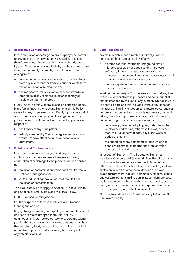# **3 Radioactive Contamination**

 loss, destruction or damage, to any property whatsoever or any loss or expense whatsoever resulting or arising therefrom or any other costs directly or indirectly caused by such Damage, or any legal liability of whatsoever nature directly or indirectly caused by or contributed to by or arising from:

- **a** ionising radiations or contamination by radioactivity from any nuclear fuel or from any nuclear waste from the combustion of nuclear fuel; or
- **b** the radioactive, toxic, explosive or other hazardous properties of any explosive nuclear assembly or nuclear component thereof.

 NOTE: As far as this General Exclusion concerns Bodily Injury (as defined in the relevant Sections of this Policy) caused to any Employee, if such Bodily Injury arises out of and in the course of employment or engagement of such person by You, this General Exclusion will apply only in respect of:

- **i** the liability of any principal; or
- **ii** liability assumed by You under agreement and which would not have attached in the absence of such agreement.

# **4 Pollution and Contamination**

 loss, destruction or damage, caused by pollution or contamination, except (unless otherwise excluded) destruction of or damage to the property insured caused by:

- **a** pollution or contamination which itself results from a Defined Contingency; or
- **b** a Defined Contingency which itself results from pollution or contamination.

 This Exclusion will not apply to Section 3: Public Liability and Section 6: Employers Liability, of this Policy.

# NOTE: Defined Contingencies

 For the purposes of this General Exclusion, Defined Contingencies are:

 fire, lightning, explosion, earthquake, aircraft or other aerial devices or articles dropped therefrom, riot, civil commotion, strikers, locked out workers, persons taking part in labour disturbances, malicious persons other than thieves, storm, flood, escape of water or oil from any tank apparatus or pipe, sprinkler leakage, theft or impact by any vehicle or animal.

# **5 Date Recognition**

 any claim which arises directly or indirectly from or consists of the failure or inability of any:

- **a** electronic circuit, microchip, integrated circuit, microprocessor, embedded system, hardware, software, firmware, program, computer, data processing equipment, telecommunication equipment or systems, or any similar device; or
- **b** media or systems used in connection with anything referred to in **a** above,

 whether the property of You the Insured or not, at any time to achieve any or all of the purposes and consequential effects intended by the use of any number, symbol or word to denote a date and this includes without any limitation the failure or inability to recognise, capture, save, retain or restore and/or correctly to manipulate, interpret, transmit, return, calculate or process any date, data, information, command, logic or instruction as a result of:

- **i** recognising, using or adopting any date, day of the week or period of time, otherwise than as, or other than, the true or correct date, day of the week or period of time; or
- **ii** the operation of any command or logic which has been programmed or incorporated into anything referred to in **a** and **b** above.

In respect of Section 1: The Structure, Section 2: Landlords Contents and Section 4: Rent Receivable, this Exclusion will not exclude subsequent Damage not otherwise excluded which itself results from fire, lightning, explosion, aircraft or other aerial devices or articles dropped from them, riot, civil commotion, strikers, locked out workers, persons taking part in labour disturbances, malicious persons other than thieves, earthquake, storm, flood, escape of water from any tank apparatus or pipe, theft, or impact by any vehicle or animal.

 NOTE: General Exclusion 5 will not apply to Section 6: Employers Liability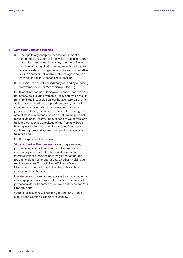# **6 Computer Virus and Hacking**

- **a** Damage to any computer or other equipment or component or system or item which processes stores transmits or retrieves data or any part thereof whether tangible or intangible (including but without limitation any information or programs or software) and whether Your Property or not where such Damage is caused by Virus or Similar Mechanism or Hacking
- **b** financial loss directly or indirectly caused by or arising from Virus or Similar Mechanism or Hacking

 but this will not exclude Damage or financial loss, which is not otherwise excluded from this Policy and which results from fire, lightning, explosion, earthquake, aircraft or other aerial devices or articles dropped therefrom, riot, civil commotion, strikes, labour disturbances, malicious persons (including the acts of thieves but excluding the acts of malicious persons which do not involve physical force or violence), storm, flood, escape of water from any tank apparatus or pipe, leakage of fuel from any fixed oil heating installation, leakage of beverages from storage containers, pipes and apparatus impact by any vehicle, train or animal.

For the purpose of this Exclusion:

 **Virus or Similar Mechanism** means program code, programming instruction or any set of instructions intentionally constructed with the ability to damage interfere with or otherwise adversely affect computer programs, data files or operations, whether involving selfreplication or not. The definition of Virus or Similar Mechanism includes but is not limited to trojan horses worms and logic bombs.

 **Hacking** means unauthorised access to any computer or other equipment or component or system or item which processes stores transmits or retrieves data whether Your Property or not.

 General Exclusion 6 will not apply to Section 3 Public Liability and Section 6 Employers Liability.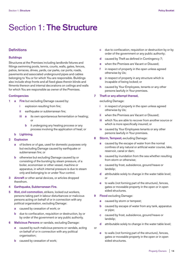# Section 1: **The Structure**

# **Definitions**

### **Buildings**

Structures at the Premises including landlords fixtures and fittings swimming pools, tennis, courts, walls, gates, fences, patios, terraces, drives, yards, car parks, car ports, roads, pavements and associated underground pipes and cables belonging to You or for which You are responsible. Buildings also include shop fronts and all fixed glass therein blinds and fitments thereon and internal decorations on ceilings and walls for which You are responsible as owner of the Premises.

# **Contingencies**

- **1 a** Fire but excluding Damage caused by:
	- **i** explosion resulting from fire;
	- **ii** earthquake or subterranean fire;
	- **iii a** its own spontaneous fermentation or heating; or
		- **b** it undergoing any heating process or any process involving the application of heat; or

#### **b Lightning.**

# **2 Explosion**

- **a** of boilers or of gas, used for domestic purposes only but excluding Damage caused by earthquake or subterranean fire; or
- **b** otherwise but excluding Damage caused by or consisting of the bursting by steam pressure, of a boiler, economiser or other vessel, machine or apparatus, in which internal pressure is due to steam only and belonging to or under Your control.
- **3 Aircraft** or other aerial devices, or articles dropped therefrom.
- **4 Earthquake, Subterranean Fire.**
- **5 Riot, civil commotion,** strikers, locked out workers, persons taking part in labour disturbances or malicious persons acting on behalf of or in connection with any political organisation, excluding Damage:
	- **a** caused by cessation of work; or
	- **b** due to confiscation, requisition or destruction, by or by order of the government or any public authority.
- **6 Malicious Persons** or vandals, excluding Damage:
	- **a** caused by such malicious persons or vandals, acting on behalf of or in connection with any political organisation;
	- **b** caused by cessation of work;
- **c** due to confiscation, requisition or destruction by or by order of the government or any public authority;
- **d** caused by Theft as defined in Contingency 7;
- **e** when the Premises are Vacant or Disused;
- **f** in respect of property in the open unless agreed otherwise by Us;
- **g** in respect of property in any structure which is incapable of being locked; or
- **h** caused by Your Employees, tenants or any other persons lawfully in Your premises.

# **7 Theft or any attempt thereat,**

excluding Damage:

- **i** in respect of property in the open unless agreed otherwise by Us;
- **ii** when the Premises are Vacant or Disused;
- **iii** which You are able to recover from another source or which is more specifically insured; or
- **iv** caused by Your Employees tenants or any other persons lawfully in Your premises.
- **8 Storm, Tempest,** excluding Damage:
	- **a** caused by the escape of water from the normal confines of any natural or artificial water course, lake, reservoir, canal or dam;
	- **b** caused by inundation from the sea whether resulting from storm or otherwise;
	- **c** caused by frost, subsidence, ground heave or landslip;
	- **d** attributable solely to change in the water table level; or
	- **e** to walls (not forming part of the structure), fences, gates or moveable property in the open or in open sided structures.
- **9 Flood** excluding Damage:
	- **a** caused by storm or tempest;
	- **b** caused by escape of water from any tank, apparatus or pipe;
	- **c** caused by frost, subsidence, ground heave or landslip;
	- **d** attributable solely to change in the water table level;
- or
- **e** to walls (not forming part of the structure), fences, gates or moveable property in the open or in open sided structures.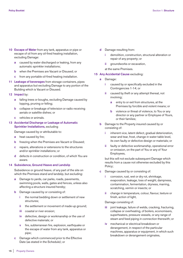- **10 Escape of Water** from any tank, apparatus or pipe or escape of oil from any oil-fired heating installation, excluding Damage:
	- **a** caused by water discharged or leaking, from any automatic sprinkler installations;
	- **b** when the Premises are Vacant or Disused; or
	- **c** from any portable oil-fired heating installation.
- **11 Leakage of beverages** from storage containers, pipes and apparatus but excluding Damage to any portion of the Building which is Vacant or Disused.
- **12 Impact** by:
	- **a** falling trees or boughs, excluding Damage caused by lopping, pruning or felling;
	- **b** collapse or breakage of television or radio receiving aerials or satellite dishes; or
	- **c** vehicles or animals.
- **13 Accidental Discharge or Leakage of Automatic Sprinkler Installations,** excluding

Damage caused by or attributable to:

- **a** heat caused by fire;
- **b** freezing when the Premises are Vacant or Disused;
- **c** repairs, alterations or extensions to the structures and/or sprinkler installations; or
- **d** defects in construction or condition, of which You are aware.

#### **14 Subsidence, Ground Heave and Landslip**

Subsidence or ground heave, of any part of the site on which the Premises stand and landslip, but excluding:

- **a** Damage to yards, car parks, roads, pavements, swimming pools, walls, gates and fences, unless also affecting a structure insured hereby;
- **b** Damage caused by or consisting of:
	- **i** the normal bedding down or settlement of new structures;
	- **ii** the settlement or movement of made-up ground;
	- **iii** coastal or river erosion;
	- **iv** defective, design or workmanship or the use of defective materials; or
	- **v** fire, subterranean fire, explosion, earthquake or the escape of water from any tank, apparatus or pipe;
- **c** Damage which commenced prior to the Effective Date (as stated in the Schedule); or
- **d** Damage resulting from:
	- **i** demolition, construction, structural alteration or repair of any property; or
	- **ii** groundworks or excavation,
	- at the same Premises.
- **15 Any Accidental Cause** excluding:
	- **a** Damage:
		- **i** caused by or specifically excluded in the Contingencies 1-14; or
		- **ii** caused by theft or any attempt thereat, not involving;
			- **a** entry to or exit from structures, at the Premises by forcible and violent means; or
			- **b** violence or threat of violence, to You or any director or any partner or Employee of Yours, or their families;
	- **b** Damage to the Property insured caused by or consisting of:
		- **i** inherent vice, latent defect, gradual deterioration, wear and tear, frost, change in water table level, its own faulty or defective design or materials; or
		- **ii** faulty or defective workmanship, operational error or omission, on the part of You or any of Your Employees,

 but this will not exclude subsequent Damage which results from a cause not otherwise excluded by this Policy;

- **c** Damage caused by or consisting of:
	- **i** corrosion, rust, wet or dry rot, shrinkage, evaporation, leakage, loss of weight, dampness, contamination, fermentation, dryness, marring, scratching, vermin or insects; or
	- **ii** change in temperature, colour, flavour, texture or finish, action of light,

Damage consisting of:

- joint leakage, failure of welds, cracking, fracturing, collapse or overheating, of boilers, economisers, superheaters, pressure vessels, or any range of steam and feed piping in connection therewith; or
- **iv** mechanical or electrical breakdown or derangement, in respect of the particular machines, apparatus or equipment, in which such breakdown or derangement originates,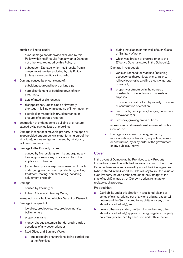but this will not exclude:

- **i** such Damage not otherwise excluded by this Policy which itself results from any other Damage not otherwise excluded by this Policy; or
- **ii** subsequent Damage which itself results from a cause not otherwise excluded by this Policy (unless more specifically insured);
- **d** Damage caused by or consisting of:
	- **i** subsidence, ground heave or landslip;
	- **ii** normal settlement or bedding down of new structures;
	- **iii** acts of fraud or dishonesty;
	- **iv** disappearance, unexplained or inventory shortage, misfiling or misplacing of information; or
	- **v** electrical or magnetic injury, disturbance or erasure, of electronic records;
- **e** destruction of or damage to a building or structure, caused by its own collapse or cracking;
- **f** Damage in respect of movable property in the open or in open-sided structures, walls (not forming part of the structure), fences and gates, caused by wind, rain, hail, sleet, snow or dust;
- **g** Damage to the Property Insured:
	- **i** caused by fire resulting from its undergoing any heating process or any process involving the application of heat; or
	- **ii** (other than by fire or explosion) resulting from its undergoing any process of production, packing, treatment, testing, commissioning, servicing, adjustment or repair;
- **h** Damage:
	- **i** caused by freezing; or
	- **ii** to fixed Glass and Sanitary Ware,
	- in respect of any building which is Vacant or Disused;
- **i** Damage in respect of:
	- **i** jewellery, precious stones, precious metals, bullion or furs;
	- **ii** property in transit;
	- **iii** money, cheques, stamps, bonds, credit cards or securities of any description; or
	- **iv** fixed Glass and Sanitary Ware:
		- **a** due to repairs or alterations, being carried out at the Premises;
- **b** during installation or removal, of such Glass or Sanitary Ware; or
- **c** which was broken or cracked prior to the Effective Date (as stated in the Schedule);
- **j** Damage in respect of:
	- **i** vehicles licensed for road use (including accessories thereon), caravans, trailers, railway locomotives, rolling stock, watercraft or aircraft;
	- **ii** property or structures in the course of construction or erection and materials or supplies

 in connection with all such property in course of construction or erection;

- **iii** land, roads, piers, jetties, bridges, culverts or excavations; or
- **iv** livestock, growing crops or trees,

 unless specifically mentioned as insured by this Section; or

 **k** Damage occasioned by delay, embargo, nationalisation, confiscation, requisition, seizure or destruction, by or by order of the government or any public authority.

# **Cover**

In the event of Damage at the Premises to any Property Insured in connection with the Business occurring during the Period of Insurance and caused by any of the Contingencies (where stated in the Schedule), We will pay to You the value of such Property Insured or the amount of the Damage at the time of such Damage or, at Our own option, reinstate or replace such property.

Provided that:

- **a** Our liability under this Section in total for all claims or series of claims, arising out of any one original cause, will not exceed the Sum Insured for each item (or any other stated limit of liability); and
- **b** unless otherwise stated, the Sum Insured (or any other stated limit of liability) applies in the aggregate to property collectively described by each item under this Section.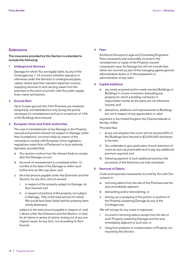# **Extensions**

**The insurance provided by this Section is extended to include the following:**

# **1 Underground Services**

 Damage for which You are legally liable, by any of the Contingencies 1-14 inclusive (whether operative or otherwise under this Section) to underground pipes, cables, drains (and their relevant inspection covers), supplying services to and carrying waste from the premises to the point of junction with the public supply lines, mains and sewers.

# **2 Ground Rent**

 Up to 2 years ground rent if the Premises are rendered temporarily uninhabitable but only during the period necessary for reinstatement and up to a maximum of 10% of the Buildings Sum Insured.

# **3 European Union and Public Authorities**

 The cost of reinstatement of any Damage to the Property insured and portions thereof not subject to Damage (other than foundations), incurred solely by reason of the necessity to comply with European Union legislation, regulations under Acts of Parliament or local authority bye-laws, provided that:

- **a** You receive a notice from the relevant body to comply after the Damage occurs;
- **b** the work of reinstatement is completed within 12 months of the date of the Damage or within such further time as We may allow; and
- **c** the total amount payable under this Extension and this Section, for any item, will not exceed:
	- **i** in respect of the property subject to Damage, its Sum Insured; and
	- **ii** in respect of portions of the property not subject to Damage, 15% of the total amount for which We would have been liable had the property been wholly destroyed,

 subject to the total amount payable in respect of i and ii above under this Extension and this Section, in total for all claims or series of claims, arising out of any one original cause, for any item, not exceeding its Sum Insured.

# **4 Fees**

 Architects Surveyors Legal and Consulting Engineers Fees necessarily and reasonably incurred in the reinstatement or repair of the Property insured consequent upon its Damage but will not include fees which are incurred as part of the managing agents general administrative duties or in the preparation or administration of any claim.

#### **5 Capital Additions**

- **a** any newly acquired and/or newly erected Buildings or Buildings in course of erection (excluding any property for which a building contractor is responsible) insofar as the same are not otherwise insured; and
- **b** alterations, additions and improvements to Buildings but not in respect of any appreciation in value

 anywhere in the United Kingdom the Channel Islands or the Isle of Man

Provided that:

- at any one situation this cover will not exceed 20% of the Buildings Sum Insured or £2,000,000 whichever is the less;
- **ii** You undertake to give particulars of such extension of cover as soon as practicable and to pay any additional premium required; and
- **iii** following payment of such additional premium the provisions of this Extension are fully reinstated.

#### **6 Removal of Debris**

 Costs and expenses necessarily incurred by You with Our consent in:

- **a** removing debris from the site of the Premises and the area immediately adjacent;
- **b** dismantling and/or demolishing; or
- **c** shoring up or propping of the portion or portions of the Property sustaining Damage by any of the Contingencies.

We will not pay for any costs or expenses:

- **i** incurred in removing debris except from the site of such Property sustaining Damage and the area immediately adjacent to such site; or
- **ii** rising from pollution or contamination of Property not insured by this Section.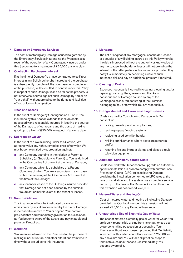# **7 Damage by Emergency Services**

 The cost of restoring any Damage caused to gardens by the Emergency Services in attending the Premises as a result of the operation of any Contingency insured under this Section up to a maximum of £25,000 any one claim.

# **8 Contracting Purchasers Interest**

 If at the time of Damage You have contracted to sell Your interest in any Buildings hereby insured and the purchase is subsequently completed, the purchaser, on completion of the purchase, will be entitled to benefit under this Policy in respect of such Damage (if and so far as the property is not otherwise insured against such Damage by You or on Your behalf) without prejudice to the rights and liabilities of You or Us until completion.

#### **9 Trace and Access**

In the event of Damage by Contingencies 10 or 11 the insurance by this Section extends to include costs necessarily and reasonably incurred in locating the source of the Damage to effect repairs and the costs of making good up to a limit of £25,000 in respect of any one claim.

## **10 Subrogation Waiver**

 In the event of a claim arising under this Section, We agree to waive any rights, remedies or relief to which We may become entitled by subrogation against:

- **a** any Company standing in the relation of Parent to Subsidiary (or Subsidiary to Parent) to You as defined in the Companies Act current at the time of Damage;
- **b** any Company which is a subsidiary of a Parent Company of which You are a subsidiary, in each case within the meaning of the Companies Act current at the time of the Damage;
- **c** any tenant or lessee of the Buildings insured provided that Damage has not been caused by the criminal fraudulent or malicious act of the tenant or lessee.

# **11 Non-Invalidation**

 This insurance will not be invalidated by any act or omission or by any alteration whereby the risk of Damage is increased unknown to You or beyond Your control provided that You immediately give notice to Us as soon as You become aware of the above and pay an additional premium if required.

### **12 Workmen**

 Workmen are allowed on the Premises for the purpose of making minor structural and other alterations from time to time without prejudice to this insurance.

#### **13 Mortgage**

 The act or neglect of any mortgagor, leaseholder, lessee or occupier of any Building insured by this Policy whereby the risk is increased without the authority or knowledge of any mortgagee, freeholder or lessor will not prejudice the interest of the latter parties in this insurance provided they notify Us immediately on becoming aware of such increased risk and pay an additional premium if required.

#### **14 Clearing of Drains**

 Expenses necessarily incurred in clearing, cleaning and/or repairing drains, gutters, sewers and the like in consequence of Damage caused by any of the Contingencies insured occurring at the Premises belonging to You or for which You are responsible.

#### **15 Extinguishment and Alarm Resetting Expenses**

 Costs incurred by You following Damage with Our consent in:

- **a** refilling fire extinguishing appliances;
- **b** recharging gas flooding systems;
- **c** replacing used sprinkler heads;
- **d** refilling sprinkler tanks where costs are metered; and/or
- **e** resetting fire and intruder alarms and closed circuit television equipment.

### **16 Additional Sprinkler Upgrade Costs**

 Costs incurred with Our consent to upgrade an automatic sprinkler installation in order to comply with current Loss Prevention Council (LPC) rules following Damage providing the installation conformed to LPC rules at the time of installation and the system has a complete service record up to the time of the Damage, Our liability under this extension will not exceed £25,000.

#### **17 Metered Water and Heating Oil**

 Cost of metered water and heating oil following Damage provided that Our liability under this extension will not exceed £25,000 in any Period of Insurance.

# **18 Unauthorised Use of Electricity Gas or Water**

 The cost of metered electricity gas or water for which You are legally responsible arising from its unauthorised use by persons taking possession or occupying Your Premises without Your consent provided that Our liability in respect of this extension will not exceed £25,000 for any one claim and You will take all practical steps to terminate such unauthorised use immediately You become aware of it.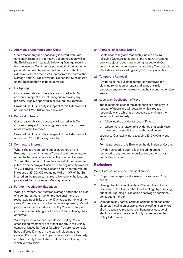### **19 Alternative Accommodation Costs**

 Costs reasonably and necessarily incurred with Our consent in respect of alternative accommodation whilst the Building is uninhabitable following Damage resulting from an insured Contingency provided that the maximum period during which payment will be made under this extension will not exceed 24 months from the date of the Damage and Our liability will not exceed the Sum Insured on the Building that has been damaged.

# **20 Fly Tipping**

 Costs reasonably and necessarily incurred with Our consent in respect of the clearing and removing any property illegally deposited in or around the Premises.

 Provided that Our liability in respect of this Extension will not exceed £25,000 for any one claim.

# **21 Removal of Nests**

 Costs reasonably and necessarily incurred with Our consent in respect of removing bees, wasps and hornets nests from the Premises.

 Provided that Our liability in respect of this Extension will not exceed £1,000 for any one claim.

# **22 Contractors Interest**

 Where You are required to effect insurance on the Property in the joint names of Yourself and the contractor under the terms of a condition in the contract between You and the contractor then the interest of the contractor in the Property as a joint insured is hereby noted provided You will advise Us of details of any single contract valued in excess of £100,000 excluding VAT or 10% of the Sum Insured on the property insured, whichever is the less, and pay any additional premium We may require.

# **23 Further Investigation Expenses**

 Where a Property has suffered Damage and in the opinion of a competent construction professional there is a reasonable possibility of other Damage to portions of the same Property which is not immediately apparent, We will pay the reasonable costs incurred by You with Our prior consent in establishing whether or not such Damage has occurred.

 We will pay the reasonable costs incurred by You in establishing whether or not other Property in the vicinity owned or leased by You or for which You are responsible have suffered Damage in the same incident as that causing Damage to the Property but only if such Property is subsequently found to have suffered such Damage for which We are liable.

#### **24 Removal of Tenants Debris**

 Costs necessarily and reasonably incurred by You following Damage in respect of the removal of tenants debris subject to such costs being agreed with Our consent and not otherwise recoverable by You subject to Our liability not exceeding £25,000 for any one claim.

#### **25 Temporary Removal**

 Any parts of the Buildings temporarily removed for cleaning renovation or repair or display or similar purposes but only to the extent that they are not otherwise insured.

### **26 Loss of or Duplication of Keys**

 The reasonable cost of replacement locks and keys in respect of doors and windows for which You are responsible and which are necessary to maintain the security of the Property:

- **a** following the accidental loss of Keys; or
- **b** where there is reasonable evidence that such Keys have been copied by an unauthorised person;

subject to Our liability not exceeding £15,000 any one claim.

For the purpose of this Extension the definition of Keys is:

 Any device used to open a lock including but not restricted to any electronic device key card or remote control transmitter.

# **Exclusions**

We will not be liable under this Section for:

- **1** Property more specifically insured by You or on Your behalf:
- **2** Damage to Glass and Sanitary Ware as defined under Section 5 of this Policy other than breakage by or arising out of fire, lightning or explosion or salvage operations consequent thereon:
- **3** Damage to any particular piece of plant or fittings of the electrical installation or appliances by self ignition, short circuit, excessive pressure, self heating or leakage of electricity unless more specifically insured under the Policy Extensions.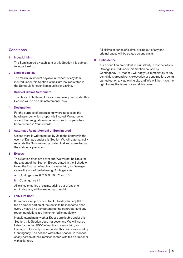# **Conditions**

#### **1 Index Linking**

 The Sum Insured by each item of this Section 1 is subject to Index Linking.

# **2 Limit of Liability**

 The maximum amount payable in respect of any item insured under this Section is the Sum Insured stated in the Schedule for each item plus Index Linking.

# **3 Basis of Claims Settlement**

 The Basis of Settlement for each and every Item under this Section will be on a Reinstatement Basis.

# **4 Designation**

 For the purpose of determining where necessary the heading under which property is insured, We agree to accept the designation under which such property has been entered in Your records.

# **5 Automatic Reinstatement of Sum Insured**

 Unless there is written notice by Us to the contrary in the event of Damage under this Section We will automatically reinstate the Sum Insured provided that You agree to pay the additional premium.

# **6 Excess**

 This Section does not cover and We will not be liable for the amount of the Section Excess stated in the Schedule being the first part of each and every claim, for Damage caused by any of the following Contingencies:

- **a** Contingencies 6, 7, 8, 9, 10, 12 and 15.
- **b** Contingency 14

 All claims or series of claims, arising out of any one original cause, will be treated as one claim.

# **7 Felt/ Flat Roof**

 It is a condition precedent to Our liability that any flat or felt on timber portion of the roof is to be inspected once every 2 years by a competent roofing contractor and any recommendations are implemented immediately.

 Notwithstanding any other Excess applicable under this Section, this Section does not cover and We will not be liable for the first £500 of each and every claim, for Damage to Property Insured under this Section caused by Contingency 8 as defined within this Section, in respect of any portion of the Premises roofed with felt on timber or with a flat roof.

 All claims or series of claims, arising out of any one original cause will be treated as one claim.

#### **8 Subsidence**

It is a condition precedent to Our liability in respect of any Damage insured under this Section caused by Contingency 14, that You will notify Us immediately of any demolition, groundwork, excavation or construction, being carried out on any adjoining site and We will then have the right to vary the terms or cancel this cover.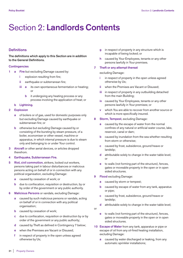# Section 2: **Landlords Contents**

# **Definitions**

**The definitions which apply to this Section are in addition to the General Definitions.**

# **Contingencies**

- **1 a Fire** but excluding Damage caused by:
	- **i** explosion resulting from fire;
	- **ii** earthquake or subterranean fire;
	- **iii a** its own spontaneous fermentation or heating; or
		- **b** it undergoing any heating process or any process involving the application of heat; or
	- **b Lightning.**
- **2 Explosion**
	- **a** of boilers or of gas, used for domestic purposes only but excluding Damage caused by earthquake or subterranean fire; or
	- **b** otherwise but excluding Damage caused by or consisting of the bursting by steam pressure, of a boiler, economiser or other vessel, machine or apparatus, in which internal pressure is due to steam only and belonging to or under Your control.
- **3 Aircraft** or other aerial devices, or articles dropped therefrom.
- **4 Earthquake, Subterranean Fire.**
- **5 Riot, civil commotion,** strikers, locked out workers, persons taking part in labour disturbances or malicious persons acting on behalf of or in connection with any political organisation, excluding Damage:
	- **a** caused by cessation of work; or
	- **b** due to confiscation, requisition or destruction, by or by order of the government or any public authority.
- **6 Malicious Persons** or vandals, excluding Damage:
	- **a** caused by such malicious persons or vandals, acting on behalf of or in connection with any political organisation;
	- **b** caused by cessation of work;
	- **c** due to confiscation, requisition or destruction by or by order of the government or any public authority;
	- **d** caused by Theft as defined in Contingency 7 below;
	- **e** when the Premises are Vacant or Disused;
	- **f** in respect of property in the open unless agreed otherwise by Us;
- **g** in respect of property in any structure which is incapable of being locked; or
- **h** caused by Your Employees, tenants or any other persons lawfully in Your premises.

# **7 Theft or any attempt thereat**

excluding Damage:

- **i** in respect of property in the open unless agreed otherwise by Us;
- **ii** when the Premises are Vacant or Disused;
- **iii** in respect of property in any outbuilding detached from the main Building;
- **iv** caused by Your Employees, tenants or any other persons lawfully in Your premises; or
- **v** which You are able to recover from another source or which is more specifically insured.
- **8 Storm, Tempest**, excluding Damage:
	- **a** caused by the escape of water from the normal confines of any natural or artificial water course, lake, reservoir, canal or dam;
	- **b** caused by inundation from the sea whether resulting from storm or otherwise;
	- **c** caused by frost, subsidence, ground heave or landslip;
	- **d** attributable solely to change in the water table level; or
	- **e** to walls (not forming part of the structure), fences, gates or moveable property in the open or in open sided structures.
- **9 Flood** excluding Damage:
	- **a** caused by storm or tempest;
	- **b** caused by escape of water from any tank, apparatus or pipe;
	- **c** caused by frost, subsidence, ground heave or landslip;
	- **d** attributable solely to change in the water table level;
- or
- **e** to walls (not forming part of the structure), fences, gates or moveable property in the open or in open sided structures.
- **10 Escape of Water** from any tank, apparatus or pipe or escape of oil from any oil-fired heating installation, excluding Damage:
	- **a** caused by water discharged or leaking, from any automatic sprinkler installations;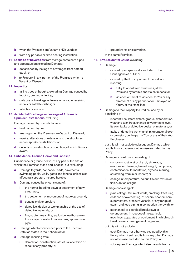- **b** when the Premises are Vacant or Disused; or
- **c** from any portable oil-fired heating installation.
- **11 Leakage of beverages** from storage containers pipes and apparatus but excluding Damage:
	- **a** occasioned by leakage of beverages from bottled stock; or
	- **b** to Property in any portion of the Premises which is Vacant or Disused.
- **12 Impact** by:
	- **a** falling trees or boughs, excluding Damage caused by lopping, pruning or felling;
	- **b** collapse or breakage of television or radio receiving aerials or satellite dishes; or
	- **c** vehicles or animals.

# **13 Accidental Discharge or Leakage of Automatic Sprinkler Installations,** excluding

Damage caused by or attributable to:

- **a** heat caused by fire;
- **b** freezing when the Premises are Vacant or Disused;
- **c** repairs, alterations or extensions to the structures and/or sprinkler installations; or
- **d** defects in construction or condition, of which You are aware.

# **14 Subsidence, Ground Heave and Landslip**

 Subsidence or ground heave, of any part of the site on which the Premises stand and landslip, but excluding:

- **a** Damage to yards, car parks, roads, pavements, swimming pools, walls, gates and fences, unless also affecting a structure insured hereby;
- **b** Damage caused by or consisting of:
	- **i** the normal bedding down or settlement of new structures;
	- **ii** the settlement or movement of made-up ground;
	- **iii** coastal or river erosion;
	- **iv** defective, design or workmanship or the use of defective materials; or
	- **v** fire, subterranean fire, explosion, earthquake or the escape of water from any tank, apparatus or pipe;
- **c** Damage which commenced prior to the Effective Date (as stated in the Schedule); or
- **d** Damage resulting from:
	- **i** demolition, construction, structural alteration or repair of any property; or

**ii** groundworks or excavation,

at the same Premises.

# **15 Any Accidental Cause** excluding:

- **a** Damage:
	- **i** caused by or specifically excluded in the Contingencies 1-14; or
	- **ii** caused by theft or any attempt thereat, not involving;
		- **a** entry to or exit from structures, at the Premises by forcible and violent means; or
		- **b** violence or threat of violence, to You or any director of or any partner of or Employee of Yours, or their families;
- **b** Damage to the Property Insured caused by or consisting of:
	- **i** inherent vice, latent defect, gradual deterioration, wear and tear, frost, change in water table level, its own faulty or defective design or materials; or
	- **ii** faulty or defective workmanship, operational error or omission, on the part of You or any of their Your Employees,

 but this will not exclude subsequent Damage which results from a cause not otherwise excluded by this Policy;

- **c** Damage caused by or consisting of:
	- **i** corrosion, rust, wet or dry rot, shrinkage, evaporation, leakage, loss of weight, dampness, contamination, fermentation, dryness, marring, scratching, vermin or insects; or
	- **ii** change in temperature, colour, flavour, texture or finish, action of light,

Damage consisting of:

- **iii** joint leakage, failure of welds, cracking, fracturing, collapse or overheating, of boilers, economisers, superheaters, pressure vessels, or any range of steam and feed piping in connection therewith; or
- **iv** mechanical or electrical breakdown or derangement, in respect of the particular machines, apparatus or equipment, in which such breakdown or derangement originates,

# but this will not exclude:

- **i** such Damage not otherwise excluded by this Policy which itself results from any other Damage not otherwise excluded by this Policy; or
- **ii** subsequent Damage which itself results from a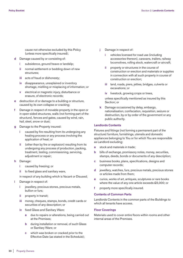cause not otherwise excluded by this Policy (unless more specifically insured);

- **d** Damage caused by or consisting of:
	- **i** subsidence, ground heave or landslip;
	- **ii** normal settlement or bedding down of new structures;
	- **iii** acts of fraud or dishonesty;
	- **iv** disappearance, unexplained or inventory shortage, misfiling or misplacing of information; or
	- **v** electrical or magnetic injury, disturbance or erasure, of electronic records;
- **e** destruction of or damage to a building or structure, caused by its own collapse or cracking;
- **f** Damage in respect of movable property in the open or in open-sided structures, walls (not forming part of the structure), fences and gates, caused by wind, rain, hail, sleet, snow or dust;
- **g** Damage to the Property insured:
	- **i** caused by fire resulting from its undergoing any heating process or any process involving the application of heat; or
	- **ii** (other than by fire or explosion) resulting from its undergoing any process of production, packing, treatment, testing, commissioning, servicing, adjustment or repair;
- **h** Damage:
	- **i** caused by freezing; or
	- **ii** to fixed glass and sanitary ware,
	- in respect of any building which is Vacant or Disused;
- **i** Damage in respect of:
	- **i** jewellery, precious stones, precious metals, bullion or furs;
	- **ii** property in transit;
	- **iii** money, cheques, stamps, bonds, credit cards or securities of any description; or
	- **iv** fixed Glass and Sanitary Ware:
		- **a** due to repairs or alterations, being carried out at the Premises;
		- **b** during installation or removal, of such Glass or Sanitary Ware; or
		- **c** which was broken or cracked prior to the Effective Date (as stated in the Schedule);
- **j** Damage in respect of:
	- **i** vehicles licensed for road use (including accessories thereon), caravans, trailers, railway locomotives, rolling stock, watercraft or aircraft;
	- **ii** property or structures in the course of construction or erection and materials or supplies in connection with all such property in course of construction or erection;
	- **iii** land, roads, piers, jetties, bridges, culverts or excavations; or
	- **iv** livestock, growing crops or trees,

 unless specifically mentioned as insured by this Section; or

 **k** Damage occasioned by delay, embargo, nationalisation, confiscation, requisition, seizure or destruction, by or by order of the government or any public authority.

# **Landlords Contents**

Fixtures and fittings (not forming a permanent part of the structure) furniture, furnishings, utensils and domestic appliances belonging to You or for which You are responsible as Landlord excluding:

- **a** stock and materials in trade;
- **b** bills of exchange, promissory notes, money, securities, stamps, deeds, bonds or documents of any description;
- **c** business books, plans, specifications, designs and computer records;
- **d** jewellery, watches, furs, precious metals, precious stones or articles made from them;
- **e** curios, works of art, antiques, sculptures or rare books where the value of any one article exceeds £5,000; or
- **f** property more specifically insured.

# **Contents of Common Parts**

Landlords Contents in the common parts of the Buildings to which all tenants have access.

# **Floor Coverings**

Materials used to cover entire floors within rooms and other internal areas of the Premises.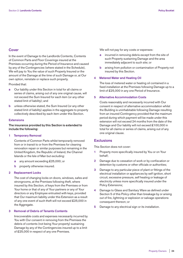# **Cover**

In the event of Damage to the Landlords Contents, Contents of Common Parts and Floor Coverings insured at the Premises occurring during the Period of Insurance and caused by any of the Contingencies (where stated in the Schedule), We will pay to You the value of such Property Insured or the amount of the Damage at the time of such Damage or, at Our own option, reinstate or replace such property.

Provided that:

- **a** Our liability under this Section in total for all claims or series of claims, arising out of any one original cause, will not exceed the Sum Insured for each item (or any other stated limit of liability); and
- **b** unless otherwise stated, the Sum Insured (or any other stated limit of liability) applies in the aggregate to property collectively described by each item under this Section.

# **Extensions**

# **The insurance provided by this Section is extended to include the following:**

# **1 Temporary Removal**

 Contents of Common Parts whilst temporarily removed from or in transit to or from the Premises for cleaning renovation repair or similar purposes but remaining in the United Kingdom, the Republic of Ireland, the Channel Islands or the Isle of Man but excluding:

- **a** any amount exceeding £25,000; or
- **b** property otherwise insured.

### **2 Replacement Locks**

 The cost of changing locks on doors, windows, safes and strongrooms, at the Premises following theft, where insured by this Section, of keys from the Premises or from Your home or that of any of Your partners or any of Your directors or any Employee entrusted with keys, provided that Our maximum liability under this Extension as a result of any one event of such theft will not exceed £25,000 in the Aggregate.

#### **3 Removal of Debris of Tenants Contents**

 Irrecoverable costs and expenses necessarily incurred by You with Our consent in removing from the Premises the debris of contents (not being Your property) sustaining Damage by any of the Contingencies insured up to a limit of £25,000 in respect of any one Premises.

We will not pay for any costs or expenses:

- **a** incurred in removing debris except from the site of such Property sustaining Damage and the area immediately adjacent to such site; or
- **b** arising from pollution or contamination of Property not insured by this Section.

# **4 Metered Water and Heating Oil**

 The loss of metered water or heating oil contained in a fixed installation at the Premises following Damage up to a limit of £25,000 in any one Period of Insurance.

# **5 Alternative Accommodation Costs**

 Costs reasonably and necessarily incurred with Our consent in respect of alternative accommodation whilst the Building is uninhabitable following Damage resulting from an insured Contingency provided that the maximum period during which payment will be made under this extension will not exceed 24 months from the date of the Damage and Our liability will not exceed £100,000 in total for all claims or series of claims, arising out of any one original clause.

# **Exclusions**

This Section does not cover:

- **1** Property more specifically insured by You or on Your behalf;
- **2** Damage due to cessation of work or by confiscation or detention by customs or other officials or authorities;
- **3** Damage to any particular piece of plant or fittings of the electrical installation or appliances by self ignition, short circuit, excessive pressure, self heating or leakage of electricity unless more specifically insured under the Policy Extensions;
- **4** Damage to Glass and Sanitary Ware as defined under Section 5 of this Policy other than breakage by or arising out of fire, lightning or explosion or salvage operations consequent thereon; or
- **5** Damage to any electrical sign or its installation.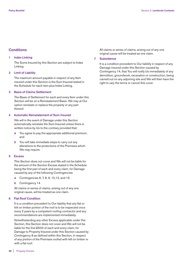# **Conditions**

#### **1 Index Linking**

 The Sums Insured by this Section are subject to Index Linking.

#### **2 Limit of Liability**

 The maximum amount payable in respect of any Item insured under this Section is the Sum Insured stated in the Schedule for each item plus Index Linking.

# **3 Basis of Claims Settlement**

 The Basis of Settlement for each and every Item under this Section will be on a Reinstatement Basis. We may at Our option reinstate or replace the property or any part thereof.

## **4 Automatic Reinstatement of Sum Insured**

 We will in the event of Damage under this Section automatically reinstate the Sum Insured unless there is written notice by Us to the contrary provided that:

- **a** You agree to pay the appropriate additional premium; and
- **b** You will take immediate steps to carry out any alterations to the protections of the Premises which We may require.

# **5 Excess**

 This Section does not cover and We will not be liable for the amount of the Section Excess stated in the Schedule being the first part of each and every claim, for Damage caused by any of the following Contingencies:

- **a** Contingencies 6, 7, 8, 9, 10,12, and 15.
- **b** Contingency 14

 All claims or series of claims, arising out of any one original cause, will be treated as one claim.

#### **6 Flat Roof Condition**

 It is a condition precedent to Our liability that any flat or felt on timber portion of the roof is to be inspected once every 2 years by a competent roofing contractor and any recommendations are implemented immediately.

 Notwithstanding any other Excess applicable under this Section, this Section does not cover and We will not be liable for the first £500 of each and every claim, for Damage to Property Insured under this Section caused by Contingency 8 as defined within this Section, in respect of any portion of the Premises roofed with felt on timber or with a flat roof.

 All claims or series of claims, arising out of any one original cause will be treated as one claim.

# **7 Subsidence**

It is a condition precedent to Our liability in respect of any Damage insured under this Section caused by Contingency 14, that You will notify Us immediately of any demolition, groundwork, excavation or construction, being carried out on any adjoining site and We will then have the right to vary the terms or cancel this cover.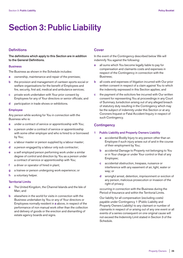# **Section 3: Public Liability**

# **Definitions**

**The definitions which apply to this Section are in addition to the General Definitions.**

#### **Business**

The Business as shown in the Schedule includes:

- **a** ownership, maintenance and repair of the premises;
- **b** the provision and management of canteen sports social or welfare organisations for the benefit of Employees and fire, security, first aid, medical and ambulance services;
- **c** private work undertaken with Your prior consent by Employees for any of Your directors or senior officials; and
- **d** participation in trade shows or exhibitions.

#### **Employee**

Any person while working for You in connection with the Business who is:

- **a** under a contract of service or apprenticeship with You;
- **b** a person under a contract of service or apprenticeship with some other employer and who is hired to or borrowed by You;
- **c** a labour master or person supplied by a labour master;
- **d** a person engaged by a labour only sub contractor;
- **e** a self employed person performing work under a similar degree of control and direction by You as a person under a contract of service or apprenticeship with You;
- **f** a driver or operator of hired in plant;
- **g** a trainee or person undergoing work experience; or
- **h** a voluntary helper.

# **Territorial Limits**

- **a** The United Kingdom, the Channel Islands and the Isle of Man; and
- **b** elsewhere in the world for visits in connection with the Business undertaken by You or any of Your directors or Employees normally resident in **a** above, in respect of the performance of non manual work other than the collection and delivery of goods or the erection and dismantling of estate agency boards and signs.

# **Cover**

In the event of the Contingency described below We will indemnify You against the following:

- **a** all sums which You become legally liable to pay for compensation and claimants costs and expenses in respect of the Contingency in connection with the Business;
- **b** all costs and expenses of litigation incurred with Our prior written consent in respect of a claim against You to which the indemnity expressed in this Section applies; and
- **c** the payment of the solicitors fee incurred with Our written consent for representing You at proceedings in any Court of Summary Jurisdiction arising out of any alleged breach of statutory duty resulting in the Contingency which may be the subject of indemnity under this Section or at any Coroners Inquest or Fatal Accident Inquiry in respect of such Contingency.

# **Contingency**

# **1 Public Liability and Property Owners Liability**

- **a** accidental Bodily Injury to any person other than an Employee if such injury arises out of and in the course of their employment by You;
- **b** accidental Damage to Property not belonging to You or in Your charge or under Your control or that of any Employee;
- **c** accidental obstruction, trespass, nuisance or interference with any easement of air, light, water or way; or
- **d** wrongful arrest, detention, imprisonment or eviction of any person, malicious prosecution or invasion of the right of privacy

 occurring in connection with the Business during the Period of Insurance and within the Territorial Limits.

 Our liability for all compensation (excluding costs) payable under Contingency 1 (Public Liability and Property Owners Liability) to any claimant or number of claimants in respect of or arising out of any one event or all events of a series consequent on one original cause will not exceed the Indemnity Limit stated in Section 3 of the Schedule.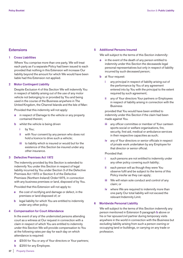# **Extensions**

# **1 Cross Liabilities**

 Where You comprise more than one party, We will treat each party as if a separate Policy had been issued to each provided that nothing in this Extension will increase Our liability beyond the amount for which We would have been liable had this Extension not applied.

# **2 Motor Contingent Liability**

 Despite Exclusion 4 of this Section We will indemnify You in respect of liability arising out of the use of any motor vehicle not belonging to or provided by You and being used in the course of the Business anywhere in The United Kingdom, the Channel Islands and the Isle of Man:

Provided that this indemnity will not apply:

- **a** in respect of Damage to the vehicle or any property contained therein;
- **b** whilst the vehicle is being driven
	- **i** by You;
	- **ii** with Your consent by any person who does not hold a licence to drive such a vehicle;
	- **iii** to liability which is insured or would but for the existence of this Section be insured under any other insurance.

# **3 Defective Premises Act 1972**

 The indemnity provided by this Section is extended to indemnify You under this Section in respect of legal liability incurred by You under Section 3 of the Defective Premises Act 1972 or Section 5 of the Defective Premises (Northern Ireland) Order1975, in connection with any business premises or land, disposed of by You.

Provided that this Extension will not apply to:

- **a** the cost of rectifying and damage or defect, in the premises or land disposed of; or
- **b** legal liability for which You are entitled to indemnity under any other policy.

# **4 Compensation for Court Attendance**

 In the event of any of the undernoted persons attending court as a witness at Our request in connection with a claim in respect of which You are entitled to indemnity under this Section We will provide compensation to You at the following rates per day for each day on which attendance is required:

- **a** £500 for You or any of Your directors or Your partners;
- **b** £250 for any Employee.

# **5 Additional Persons Insured**

We will subject to the terms of this Section indemnify:

- **a** in the event of the death of any person entitled to indemnity under this Section the deceaseds legal personal representatives but only in respect of liability incurred by such deceased person;
- **b** at Your request:
	- **i** any principal in respect of liability arising out of the performance by You of any agreement entered into by You with the principal to the extent required by such agreement;
	- **ii** any of Your directors Your partners or Employees in respect of liability arising in connection with the Business

 provided that You would have been entitled to indemnity under this Section if the claim had been made against You.

- **iii** any officer committee or member of Your canteen sports social or welfare organisations, fire, security, first aid, medical or ambulance services in their respective capacities as such;
- **iv** any of Your directors or senior officials in respect of private work undertaken by any Employee for that director or senior official.

Provided that:

- **i** such persons are not entitled to indemnity under any other policy covering such liability;
- **ii** each person will as though they were You observe fulfil and be subject to the terms of this Policy insofar as they can apply;
- **iii** We will retain sole conduct and control of any claim; or
- **iv** where We are required to indemnify more than one party Our total liability will not exceed the relevant Indemnity Limit.

# **6 Worldwide Personal Liability**

 We will subject to the terms of this Section indemnify any person mentioned in Extension 5 paragraph **b** above or his or her spouse/civil partner during temporary visits anywhere in the world in connection with the Business but excluding liability arising from such a person owning or occupying land or buildings, or carrying on any trade or profession.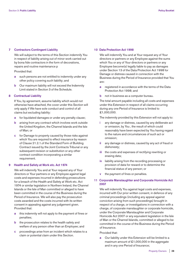# **7 Contractors Contingent Liability**

 We will subject to the terms of this Section indemnify You in respect of liability arising out of minor work carried out by bona fide contractors in the form of decorations, repairs and routine maintenance p

Provided that:

- **a** such persons are not entitled to indemnity under any other policy covering such liability; and
- **b** Our maximum liability will not exceed the Indemnity Limit stated in Section 3 of the Schedule.

# **8 Contractual Liability**

 If You, by agreement, assume liability which would not otherwise have attached, the cover under this Section will only apply if We have sole conduct and control of all claims but excluding liability:

- **a** for liquidated damages or under any penalty clause;
- **b** arising from any contract which involves work outside the United Kingdom, the Channel Islands and the Isle of Man; or
- **c** for Damage to property caused by those risks against which You are required to effect insurance by reason of Clause 21.2.1.of the Standard Form of Building Contract issued by the Joint Contracts Tribunal or any subsequent revision or substitution or any other contract condition incorporating a similar requirement.

# **9 Health and Safety at Work etc. Act 1974**

 We will indemnify You and at Your request any of Your directors or Your partners or any Employee against legal costs and expenses incurred in defending prosecutions for a breach of the Health and Safety at Work etc. Act 1974 or similar legislation in Northern Ireland, the Channel Islands or the Isle of Man committed or alleged to have been committed in the course of the Business during the Period of Insurance. We will also pay the prosecution costs awarded and the costs incurred with its written consent in appealing against any judgement given. Provided that:

- **a** this indemnity will not apply to the payment of fines or penalties;
- **b** the prosecution relates to the health safety and welfare of any person other than an Employee; and
- **c** proceedings arise from an incident which relates to a claim or potential claim under this Section.

# **10 Data Protection Act 1998**

 We will indemnify You and at Your request any of Your directors or partners or any Employee against the sums which You or any of Your directors or partners or any Employee become(s) legally liable to pay as damages under Section 13 of the Data Protection Act 1998 for Damage or distress caused in connection with the Business during the Period of Insurance provided that You are:

- **a** registered in accordance with the terms of the Data Protection Act 1998; and
- **b** not in business as a computer bureau.

 The total amount payable including all costs and expenses under this Extension in respect of all claims occurring during any one Period of Insurance is limited to £1,000,000.

The indemnity provided by this Extension will not apply to:

- **i** any damage or distress, caused by any deliberate act or omission, by You , the result of which could reasonably have been expected by You having regard to the nature and circumstances of such act or omission;
- **ii** any damage or distress, caused by any act of fraud or dishonesty;
- **iii** the costs and expenses of rectifying rewriting or erasing data;
- **iv** liability arising from the recording processing or provision of data for reward or to determine the financial status of any person; or
- **v** the payment of fines or penalties.

# **11 Corporate Manslaughter and Corporate Homicide Act 2007**

 We will indemnify You against legal costs and expenses, incurred with Our prior written consent, in defence of any criminal proceedings (including any appeal against conviction arising from such proceedings) brought in respect of a charge, or investigations in connection with a charge, of corporate manslaughter or corporate homicide, under the Corporate Manslaughter and Corporate Homicide Act 2007 or any equivalent legislation in the Isle of Man or the Channel Islands, committed or alleged to be committed in the course of the Business during the Period of Insurance.

#### Provided that:

 **a** Our liability under this Extension will be limited to a maximum amount of £1,000,000 in the aggregate and in any one Period of Insurance;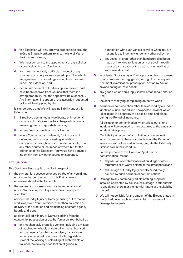- **b** this Extension will only apply to proceedings brought in Great Britain, Northern Ireland, the Isle of Man or the Channel Islands;
- **c** We must consent to the appointment of any solicitor or counsel, acting on Your behalf;
- **d** You must immediately notify Us of receipt of any summons or other process, served upon You, which may give rise to proceedings arising from the cover under this Extension; and
- **e** before We consent to fund any appeal, advice must have been received from Counsel that there is a strong probability that the appeal will be successful. Any information in support of this assertion requested by Us will be supplied by You.

 It is understood that We will have no liability under this Extension:

- **i** if You have committed any deliberate or intentional criminal act that gives rise to a charge of corporate manslaughter or corporate homicide;
- **ii** for any fines or penalties, of any kind; or
- **iii** where You can obtain indemnity for the costs of defending a criminal proceeding in relation to corporate manslaughter or corporate homicide, from any other source or insurance or where but for the existence of this Extension You would have obtained indemnity from any other source or insurance.

# **Exclusions**

This Section will not apply to liability in respect of:

- **1** the ownership, possession or use by You of any buildings not insured under Section 1 of this Policy unless otherwise stated in the Schedule;
- **2** the ownership, possession or use by You of any land unless We have agreed to provide cover in respect of such land;
- **3** accidental Bodily Injury or Damage arising out of manual work away from Your Premises, other than collection or delivery or the erection and dismantling of estate agency boards and signs;
- **4** accidental Bodily Injury or Damage arising from the ownership, possession or use by You or on Your behalf of:
	- **a** any mechanically propelled vehicle (including any type of machine on wheels or caterpillar tracks) licensed for road use or for which compulsory insurance or security is required by any road traffic legislation (except the loading or unloading of such vehicle or trailer or the delivery or collection of goods in

connection with such vehicle or trailer when You are not entitled to indemnity under any other policy); or

- **b** any vessel or craft (other than hand propelled boats) made or intended to float on or in or travel through water or air or space or the loading or unloading of such vessel or craft;
- **5** accidental Bodily Injury or Damage arising from or caused by any professional negligence, wrongful or inadequate treatment, examination, prescription, advice by You or anyone acting on Your behalf;
- **6** any goods which You supply, install, erect, repair, alter or treat;
- **7** the cost of rectifying or replacing defective work;
- **8** pollution or contamination other than caused by a sudden identifiable; unintended and unexpected incident which takes place in its entirety at a specific time and place during the Period of Insurance.

 All pollution or contamination which arises out of one incident will be deemed to have occurred at the time such incident takes place.

 Our liability in respect of all pollution or contamination which is deemed to have occurred during the Period of Insurance will not exceed in the aggregate the Indemnity Limit shown in the Schedule.

 For the purpose of this Exclusion "pollution or contamination" means:

- **a** all pollution or contamination of buildings or other structures or of water or land or the atmosphere; and
- **b** all Damage or Bodily Injury directly or indirectly caused by such pollution or contamination;
- **9** Damage to any commodity article or thing supplied installed or erected by You if such Damage is attributable to any defect therein or the harmful nature or unsuitability thereof;
- **10** We will not be liable for the amount of the Excess stated in the Schedule for each and every claim in respect of Damage to Property.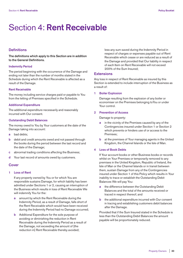# Section 4: **Rent Receivable**

# **Definitions**

**The definitions which apply to this Section are in addition to the General Definitions.**

# **Indemnity Period**

The period beginning with the occurrence of the Damage and ending not later than the number of months stated in the Schedule during which the Rent Receivable is affected as a result of the Damage.

# **Rent Receivable**

The money including service charges paid or payable to You from the letting of Premises specified in the Schedule.

#### **Additional Expenditure**

The additional expenditure necessarily and reasonably incurred with Our consent.

# **Outstanding Debit Balances**

The money owed to You by Your customers at the date of the Damage taking into account:

- **a** bad debts;
- **b** debit and credit amounts owed and not passed through the books during the period between the last record and the date of the Damage;
- **c** abnormal trading conditions affecting the Business;
- **d** Your last record of amounts owed by customers.

### **Cover**

# **1 Loss of Rent**

 If any property owned by You or for which You are responsible sustains Damage, for which liability has been admitted under Sections 1 or 2, causing an interruption of the Business which results in loss of Rent Receivable We will indemnify You for the:

- **a** amount by which the Rent Receivable during the Indemnity Period, as a result of Damage, falls short of the Rent Receivable which would have been received during the Indemnity Period had no Damage occurred;
- **b** Additional Expenditure for the sole purpose of avoiding or diminishing the reduction in Rent Receivable during the Indemnity Period as a result of the Damage, not exceeding the amount of [the reduction in] Rent Receivable thereby avoided;

 less any sum saved during the Indemnity Period in respect of charges or expenses payable out of Rent Receivable which cease or are reduced as a result of the Damage and provided that Our liability in respect of each Item on Rent Receivable will not exceed 200% of the Sum Insured;

#### **Extensions**

Any loss in respect of Rent Receivable as insured by this Section is extended to include interruption of the Business as a result of:

# **1 Boiler Explosion**

 Damage resulting from the explosion of any boiler or economiser on the Premises belonging toYou or under Your control.

# **2 Prevention of Access**

Damage to property:

- **a** in the vicinity of the Premises caused by any of the Contingencies insured under Section 1 or Section 2 which prevents or hinders use of or access to the Premises;
- **b** at the premises of Your managing agents in the United Kingdom, the Channel Islands or the Isle of Man.

# **4 Loss of Book Debts**

 If Your account books or other Business books or records whilst on Your Premises or temporarily removed to any premises in the United Kingdom, Republic of Ireland, the Isle of Man or the Channel Islands or in transit between them, sustain Damage from any of the Contingencies insured under Section 1 of this Policy which results in Your inability to trace or establish the Outstanding Debit Balances We will pay You:

- **a** the difference between the Outstanding Debit Balances and the total of the amounts received or traced in respect thereof; and
- **b** the additional expenditure incurred with Our consent in tracing and establishing customers debit balances after the Damage.

 Provided that if the Sum Insured stated in the Schedule is less than the Outstanding Debit Balances the amount payable will be proportionately reduced.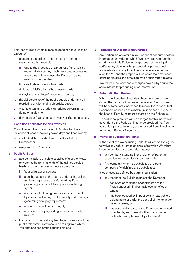This loss of Book Debts Extension does not cover loss as a result of:

- **i** erasure or distortion of information on computer systems or other records:
	- **a** due to the presence of a magnetic flux or whilst mounted in or on any machine or data processing apparatus unless caused by Damage to said machine or apparatus;
	- **b** due to defects in such records
- **ii** deliberate falsification of business records;
- **iii** mislaying or misfiling of tapes and records;
- **iv** the deliberate act of the public supply undertaking in restricting or withholding electricity supply;
- **v** wear and tear and gradual deterioration vermin rust damp or mildew; or
- **vi** dishonest or fraudulent acts by any of Your employees.

# **Condition applicable to this Extension**

 You will record the total amount of Outstanding Debit Balances at least once every seven days and keep a copy;

- **a** in a locked, fire resistant safe or cabinet at the Premises; or
- **b** away from the Premises.

# **5 Public Utilities**

- **a** accidental failure of public supplies of electricity gas or water at the terminal ends of the utilities service feeders to the Premises not occasioned by:
	- **i** Your wilful act or neglect;
	- **ii** a deliberate act of the supply undertaking unless for the sole purpose of safeguarding life or protecting any part of the supply undertaking system;
	- **iii** a scheme of rationing unless solely necessitated by accidental Damage to the supply undertakings generating or supply equipment;
	- **iv** any industrial action or drought;
	- **v** any failure of supply lasting for less than thirty minutes;
- **b** Damage to Property at any land based premises of the public telecommunications undertaking from which You obtain telecommunications services.

#### **6 Professional Accountants Charges**

 Any particulars or details in Your books of account or other information or evidence which We may require under the conditions of this Policy for the purpose of investigating or verifying any claim may be produced by professional accountants if, at any time, they are regularly acting as such for You and their report will be prima facie evidence of the particulars and details to which such report relates.

 We will pay the reasonable charges payable by You to the accountants for producing such information.

# **7 Automatic Rent Review**

 Where the Rent Receivable is subject to a rent review during the Period of Insurance the relevant Sum Insured will be automatically increased to reflect the revised Rent Receivable earned up to a maximum increase of 100% of the Loss of Rent Sum Insured stated on the Schedule.

 No additional premium will be charged for this increase in cover during the Period of Insurance provided that You advise Us, prior to renewal, of the revised Rent Receivable for the next Period of Insurance.

## **8 Waiver of Subrogation Rights**

 In the event of a claim arising under this Section We agree to waive any rights, remedies or relief to which We might become entitled by subrogation against:

- **a** any company standing in the relation of parent to subsidiary (or subsidiary to parent) to You;
- **b** Any company which is a subsidiary of a parent company of which You are a subsidiary;

In each case as defined by current legislation:

- **c** any tenant of the Buildings unless the Damage:
	- **i** has been occasioned or contributed to the fraudulent or criminal or malicious act of such tenant;
	- **ii** has been caused by impact by any road vehicle belonging to or under the control of the tenant or his employees; or
	- **iii** has occurred to parts of the Premises not leased or rented by such tenant (other than common parts which may be used by all tenants).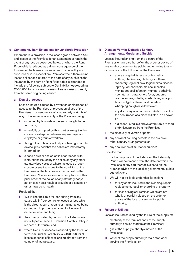# **9 Contingency Rent Extensions for Landlords Protection**

 Where there is provision in the lease agreed between You and lessee of the Premises for an abatement of rent in the event of any loss as described below or where the Rent Receivable is reduced as a direct consequence of the turnover of the lessees business being reduced by any such loss or in respect of any Premises where there are no leases or licences in force at the date of any such loss the insurance by the item on Rent Receivable is extended to include the following subject to Our liability not exceeding £500,000 for all losses or series of losses arising directly from the same originating cause:

# **a Denial of Access**

 Loss as insured caused by prevention or hindrance of access to the Premises or prevention of use of the Premises in consequence of any property or rights of way in the immediate vicinity of the Premises being:

- **i** occupied by terrorists or persons thought to be terrorists;
- **ii** unlawfully occupied by third parties except in the course of a dispute between any employer and employee or group of workers;
- **iii** thought to contain or actually containing a harmful device, provided that the police are immediately informed; or
- **iv** closed down or sealed off in accordance with instructions issued by the police or by any other statutory body except where the cause of such closure or sealing is due to the condition of the Premises or the business carried on within the Premises; Your or lessees non compliance with a prior order of the police or any statutory body; action taken as a result of drought or diseases or other hazards to health.

#### Provided that:

- **i** We will not be liable for loss arising from any cause within Your control or lessee or loss which is the direct result of repairs or maintenance being carried out to property as a result of inherent defect or wear and tear;
- **ii** the cover provided by items i of this Extension is not subject to General Exclusion 1 of this Policy in respect of terrorism; and
- **iii** where Denial of Access is caused by the threat of terrorism Our limit of liability is £100,000 for all losses or series of losses arising directly from the same originating cause;

# **b Disease, Vermin, Defective Sanitary Arrangements, Murder and Suicide**

 Loss as insured arising from the closure of the Premises or any part thereof on the order or advice of any local or governmental public authority due to any occurrence of the following at the Premises:

- **i a** acute encephalitis, acute poliomyelitis, anthrax, chickenpox, cholera, diphtheria, dysentery, legionellosis, legionnaires disease, leprosy, leptospirosis, malaria, measles meningococcal infection, mumps, opthalmia neonatorum, paratyphoid fever, bubonic plague, rabies, rubella, scarlet fever, smallpox, tetanus, typhoid fever, viral hepatitis, whooping cough or yellow fever;
	- **b** any discovery of an organism likely to result in the occurrence of a disease listed in a above; or
	- **c** a disease listed in **a** above attributable to food or drink supplied from the Premises;
- **ii** the discovery of vermin or pests;
- **iii** any accident causing defects in the drains or other sanitary arrangements; or
- **iv** any occurrence of murder or suicide;

### Provided that:

- **i** for the purposes of this Extension the Indemnity Period will commence from the date on which the Premises or any part thereof is closed on the order or advice of the local or governmental public authority; and
- **ii** We will not be liable under this Extension:
	- **a** for any costs incurred in the cleaning, repair, replacement, recall or checking of property;
	- **b** for loss arising at Premises which are not wholly or partially closed on the order or advice of the local governmental public authority;

# **c Failure of Utilities**

Loss as insured caused by the failure of the supply of:

- **i** electricity at the terminal ends of the supply authoritys service feeders at the Premises;
- **ii** gas at the supply authoritys meters at the Premises;
- **iii** water at the supply authoritys main stop cock serving the Premises; or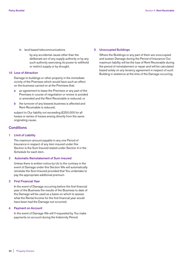**iv** land based telecommunications

 by any accidental cause other than the deliberate act of any supply authority or by any such authority exercising its power to withhold or restrict supply or by drought.

## **10 Loss of Attraction**

 Damage to buildings or other property in the immediate vicinity of the Premises which would have such an effect on the business carried on at the Premises that:

- **a** an agreement to lease the Premises or any part of the Premises in course of negotiation or review is avoided or amended and the Rent Receivable is reduced; or
- **b** the turnover of any lessees business is affected and Rent Receivable is reduced;

subject to Our liability not exceeding £250,000 for all losses or series of losses arising directly from the same originating cause.

# **Conditions**

### **1 Limit of Liability**

 The maximum amount payable in any one Period of Insurance in respect of any item insured under this Section is the Sum Insured stated under Section 4 in the Schedule for each item.

# **2 Automatic Reinstatement of Sum Insured**

 Unless there is written notice by Us to the contrary in the event of Damage under this Section We will automatically reinstate the Sum Insured provided that You undertake to pay the appropriate additional premium.

#### **3 First Financial Year**

 In the event of Damage occurring before the first financial year of the Business the results of the Business to date of the Damage will be used as a basis on which to assess what the Rental Income for the first financial year would have been had the Damage not occurred.

#### **4 Payment on Account**

 In the event of Damage We will if requested by You make payments on account during the Indemnity Period.

#### **5 Unoccupied Buildings**

 Where the Buildings or any part of them are unoccupied and sustain Damage during the Period of Insurance Our maximum liability will be the loss of Rent Receivable during the period of reinstatement or repair and will be calculated based solely on any tenancy agreement in respect of such Building in existence at the time of the Damage occurring.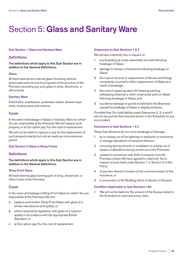# Section 5: **Glass and Sanitary Ware**

## **Sub Section 1 Glass and Sanitary Ware**

# **Definitions**

**The definitions which apply to this Sub-Section are in addition to the General Definitions.**

#### **Glass**

All fixed external and internal glass (including shelves showcases and mirrors) forming part of the structure of the Premises excluding any such glass in shop, showroom, or office fronts.

# **Sanitary Ware**

Fixed baths, washbasins, pedestals, bidets, shower trays, sinks, lavatory pans and cisterns.

# **Cover**

In the event of breakage of Glass or Sanitary Ware for which You are responsible at the Premises We will replace such property or at Our option pay You the cost of replacement.

We will not be liable to replace or pay for the replacement of such property exactly but only as nearly as circumstances permit.

# **Sub Section 2 Glass in Shop Fronts**

# **Definitions**

**The definitions which apply to this Sub-Section are in addition to the General Definitions.**

# **Shop Front Glass**

All fixed external glass forming part of shop, showroom, or office fronts of the Premises.

# **Cover**

In the event of breakage of Shop Front Glass for which You are responsible at the Premises We will:

- **a** replace such broken Shop Front Glass with glass of a similar manufacture and quality; or
- **b** where required by legislation with glass of a superior quality in accordance with the appropriate British Standard; or
- **c** at Our option pay You the cost of replacement.

# **Extensions to Sub Sections 1 & 2**

We will also indemnify You in respect of:

- **1** any boarding up costs reasonably incurred following breakage of Glass;
- **2** damage to frames or framework following breakage of Glass;
- **3** the cost of removal or replacement of fixtures and fittings necessarily incurred to effect replacement of Glass as a result of breakage;
- **4** the cost of replacing alarm foil lettering painting embossing silvering or other ornamental work on Glass following breakage of Glass; and
- **5** accidental damage to goods incidental to the Business caused by breakage of Glass in display windows.

Provided that Our total liability under Extensions 2, 3, 4 and 5 will not exceed the Sum Insured shown in the Schedule for any one incident.

# **Exclusions to Sub Sections 1 & 2**

These Sub Sections do not cover breakage or Damage:

- **1** by or arising out of fire lightning or explosion or preventive or salvage operations consequent thereon;
- **2** occurring during removal or installation or arising out of repairs or alterations being carried out at the Premises;
- **3** caused in connection with theft of property from the Premises unless We have agreed to indemnify You in respect of such theft under Section 1 or Section 2 of this Policy;
- **4** of any item flawed or broken at the commencement of this insurance; or
- **5** in any portion of the Building which is Vacant or Disused.

# **Condition Applicable to Sub Sections 1&2**

**1** We will not be liable for the amount of the Excess stated in the Schedule for each and every claim.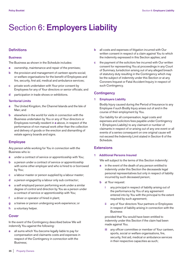# Section 6: **Employers Liability**

# **Definitions**

### **Business**

The Business as shown in the Schedule includes:

- **a** ownership, maintenance and repair of the premises;
- **b** the provision and management of canteen sports social; or welfare organisations for the benefit of Employees and fire, security, first aid, medical and ambulance services;
- **c** private work undertaken with Your prior consent by Employees for any of Your directors or senior officials; and
- **d** participation in trade shows or exhibitions.

# **Territorial Limits**

- **a** The United Kingdom, the Channel Islands and the Isle of Man; and
- **b** elsewhere in the world for visits in connection with the Business undertaken by You or any of Your directors or Employees normally resident in **a** above, in respect of the performance of non manual work other than the collection and delivery of goods or the erection and dismantling of estate agency boards and signs.

# **Employee**

Any person while working for You in connection with the Business who is:

- **a** under a contract of service or apprenticeship with You;
- **b** a person under a contract of service or apprenticeship with some other employer and who is hired to or borrowed by You;
- **c** a labour master or person supplied by a labour master;
- **d** a person engaged by a labour only sub contractor;
- **e** a self employed person performing work under a similar degree of control and direction by You as a person under a contract of service or apprenticeship with You;
- **f** a driver or operator of hired in plant;
- **g** a trainee or person undergoing work experience; or
- **h** a voluntary helper.

# **Cover**

In the event of the Contingency described below We will indemnify You against the following:

**a** all sums which You become legally liable to pay for compensation and claimants costs and expenses in respect of the Contingency in connection with the Business;

- **b** all costs and expenses of litigation incurred with Our written consent in respect of a claim against You to which the indemnity expressed in this Section applies; and
- **c** the payment of the solicitors fee incurred with Our written consent for representing You at proceedings in any Court of Summary Jurisdiction arising out of any alleged breach of statutory duty resulting in the Contingency which may be the subject of indemnity under this Section or at any Coroners Inquest or Fatal Accident Inquiry in respect of such Contingency.

# **Contingency**

# **1 Employers Liability**

 Bodily Injury caused during the Period of Insurance to any Employee if such Bodily Injury arises out of and in the course of their employment by You.

 Our liability for all compensation, legal costs and expenses and solicitors fees payable under Contingency 1 (Employers Liability) to any claimant or number of claimants in respect of or arising out of any one event or all events of a series consequent on one original cause will not exceed the Indemnity Limit stated in Section 6 of the Schedule.

# **Extensions**

# **1 Additional Persons Insured**

We will subject to the terms of this Section indemnify:

- **a** in the event of the death of any person entitled to indemnity under this Section the deceaseds legal personal representatives but only in respect of liability incurred by such deceased person;
- **b** at Your request:
	- **i** any principal in respect of liability arising out of the performance by You of any agreement entered into by You with the principal to the extent required by such agreement;
	- any of Your directors Your partners or Employees in respect of liability arising in connection with the **Business**

 provided that You would have been entitled to indemnity under this Section if the claim had been made against You.

 **iii** any officer committee or member of Your canteen, sports, social or welfare organisations, fire, security, first aid, medical or ambulance services in their respective capacities as such;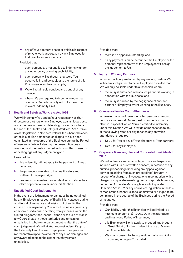**iv** any of Your directors or senior officials in respect of private work undertaken by any Employee for that director or senior official.

# Provided that:

- **i** such persons are not entitled to indemnity under any other policy covering such liability;
- each person will as though they were You observe fulfil and be subject to the terms of this Policy insofar as they can apply;
- **iii** We will retain sole conduct and control of any claim; or
- **iv** where We are required to indemnify more than one party Our total liability will not exceed the relevant Indemnity Limit.

# **3 Health and Safety at Work, etc. Act 1974**

 We will indemnify You and at Your request any of Your directors or partners or any Employee against legal costs and expenses incurred in defending prosecutions for a breach of the Health and Safety at Work etc. Act 1974 or similar legislation in Northern Ireland, the Channel Islands or the Isle of Man committed or alleged to have been committed in the course of the Business during the Period of Insurance. We will also pay the prosecution costs awarded and the costs incurred with its written consent in appealing against any judgement given.

Provided that:

- **a** this indemnity will not apply to the payment of fines or penalties;
- **b** the prosecution relates to the health safety and welfare of Employee(s); and
- **c** proceedings arise from an incident which relates to a claim or potential claim under this Section.

# **4 Unsatisfied Court Judgements**

 In the event of a judgement for damages being obtained by any Employee in respect of Bodily Injury caused during any Period of Insurance and arising out of and in the course of employment by You in the Business against any company or individual operating from premises within the United Kingdom, the Channel Islands or the Isle of Man in any Court situate in those territories and remaining unsatisfied in whole or in part six months after the date of such judgement We will at Your request indemnify up to the Indemnity Limit the said Employee or their personal representative up to the amount of any such damages and any awarded costs to the extent that they remain unsatisfied.

Provided that:

- **a** there is no appeal outstanding; and
- **b** if any payment is made hereunder the Employee or the personal representative of the Employee will assign the judgement to Us.

### **5 Injury to Working Partners**

 In respect of Injury sustained by any working partner We will deem such partner to be an Employee provided that We will only be liable under this Extension where:

- **a** the Injury is sustained whilst such partner is working in connection with the Business; and
- **b** the Injury is caused by the negligence of another partner or Employee whilst working in the Business.

# **6 Compensation for Court Attendance**

 In the event of any of the undernoted persons attending court as a witness at Our request in connection with a claim in respect of which You are entitled to indemnity under this Section We will provide compensation to You at the following rates per day for each day on which attendance is required:

- **a** £500 for You or any of Your directors or Your partners;
- **b** £250 for any Employee.

# **7 Corporate Manslaughter and Corporate Homicide Act 2007**

 We will indemnify You against legal costs and expenses, incurred with Our prior written consent, in defence of any criminal proceedings (including any appeal against conviction arising from such proceedings) brought in respect of a charge, or investigations in connection with a charge, of corporate manslaughter or corporate homicide, under the Corporate Manslaughter and Corporate Homicide Act 2007 or any equivalent legislation in the Isle of Man or the Channel Islands, committed or alleged to be committed in the course of the Business during the Period of Insurance.

# Provided that:

- **a** Our liability under this Extension will be limited to a maximum amount of £1,000,000 in the aggregate and in any one Period of Insurance;
- **b** this Extension will only apply to proceedings brought in Great Britain, Northern Ireland, the Isle of Man or the Channel Islands;
- **c** We must consent to the appointment of any solicitor or counsel, acting on Your behalf;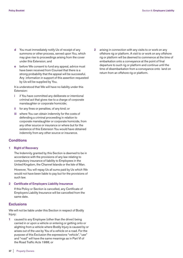- **d** You must immediately notify Us of receipt of any summons or other process, served upon You, which may give rise to proceedings arising from the cover under this Extension; and
- **e** before We consent to fund any appeal, advice must have been received from Counsel that there is a strong probability that the appeal will be successful. Any information in support of this assertion requested by Us will be supplied by You.

 It is understood that We will have no liability under this Extension:

- **i** if You have committed any deliberate or intentional criminal act that gives rise to a charge of corporate manslaughter or corporate homicide;
- **ii** for any fines or penalties, of any kind; or
- **iii** where You can obtain indemnity for the costs of defending a criminal proceeding in relation to corporate manslaughter or corporate homicide, from any other source or insurance or where but for the existence of this Extension You would have obtained indemnity from any other source or insurance.

# **Conditions**

### **1 Right of Recovery**

 The Indemnity granted by this Section is deemed to be in accordance with the provisions of any law relating to compulsory insurance of liability to Employees in the United Kingdom, the Channel Islands or the Isle of Man.

 However, You will repay Us all sums paid by Us which We would not have been liable to pay but for the provisions of such law.

# **2 Certificate of Employers Liability Insurance**

 If this Policy or Section is cancelled, any Certificate of Employers Liability Insurance will be cancelled from the same date.

# **Exclusions**

We will not be liable under this Section in respect of Bodily Injury:

**1** caused to any Employee (other than the driver) being carried in or upon a vehicle or entering or getting onto or alighting from a vehicle where Bodily Injury is caused by or arises out of the use by You of a vehicle on a road. For the purpose of this Exclusion the expressions "vehicle", "use" and "road" will have the same meanings as in Part VI of the Road Traffic Acts 1988; or

**2** arising in connection with any visits to or work on any offshore rig or platform. A visit to or work on any offshore rig or platform will be deemed to commence at the time of embarkation onto a conveyance at the point of final departure to such rig or platform and continue until the time of disembarkation from a conveyance onto land on return from an offshore rig or platform.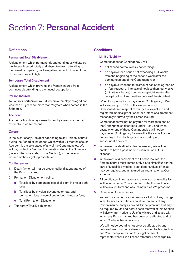# Section 7: **Personal Accident**

# **Definitions**

### **Permanent Total Disablement**

A disablement which permanently and continuously disables the Person Insured totally and absolutely from attending to their usual occupation, not being disablement following Loss of Limbs or Loss of Sight.

# **Temporary Total Disablement**

A disablement which prevents the Person Insured from continuously attending to their usual occupation.

# **Person Insured**

You or Your partners or Your directors or employees aged not less than 16 years nor more than 75 years when named in the Schedule.

# **Accident**

Accidental bodily injury caused solely by violent accidental external and visible means

# **Cover**

In the event of any Accident happening to any Person Insured during the Period of Insurance which within 24 months of such Accident is the sole cause of any of the Contingencies, We will pay under this Section the benefit stated in the Schedule (unless otherwise stated in this Section), to the Person Insured or their legal representative.

# **Contingencies**

- **1** Death (which will not be presumed by disappearance of the Person Insured)
- **2** Permanent Disablement being:
	- **a** Total loss by permanent loss of all sight in one or both eyes;
	- Total loss by physical severance or total and permanent loss of use of one or both hands or feet;
	- **c** Total Permanent Disablement
- **3** Temporary Total Disablement.

# **Conditions**

# **1 Limit of Liability**

Compensation for Contingency 3 will:

- **a** not exceed normal weekly net earnings;
- **b** be payable for a period not exceeding 104 weeks from the beginning of the second week after the commencement of the Contingency; or
- **c** be payable when the total amount has been agreed or at Your request at intervals of not less than four weeks (but not in advance) commencing eight weeks after receipt by Us of Your written notice of the Accident.

 When Compensation is payable for Contingency **c** We will also pay up to 15% of the amount of such Compensation is respect of charges of a qualified and registered medical practitioner for professional treatment reasonably incurred by the Person Insured

 Compensation will not be payable for more than one of the Contingencies described under 1 or 2 and when payable for one of those Contingencies will not be payable for Contingency 3 caused by the same Accident nor for any of the Contingencies caused by any subsequent Accident.

- **2** In the event of death of a Person Insured, We will be entitled to have a post mortem examination at Our expense.
- **3** In the event of disablement of a Person Insured, the Person Insured must immediately place himself under the care of a qualified medical practitioner and, as often as may be required, submit to medical examination at Our expense.
- **4** All certificates, information and evidence, required by Us, will be furnished at Your expense, under this section and will be in such form and of such nature as We prescribe.
- **5** Change in Circumstances

 You will give immediate written notice to Us of any change in the business or duties or habits or pursuits of any Person Insured and pay any additional premium that may be required by Us and before each renewal of this Section will give written notice to Us of any injury or disease with which any Person Insured has been or is affected and of which You have become aware.

 We will not be bound to notice or be affected by any notice of trust charge or alienation relating to this Section and Your receipt or that of Your legal personal representatives will in all cases effectually discharge Us.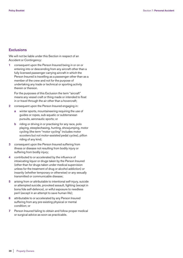# **Exclusions**

We will not be liable under this Section in respect of an Accident or Contingency:

**1** consequent upon the Person Insured being in or on or entering into or descending from any aircraft other than a fully licensed passenger carrying aircraft in which the Person Insured is travelling as a passenger other than as a member of the crew and not for the purpose of undertaking any trade or technical or sporting activity therein or thereon.

 For the purposes of this Exclusion the term "aircraft" means any vessel craft or thing made or intended to float in or travel through the air other than a hovercraft;

- **2** consequent upon the Person Insured engaging in:
	- **a** winter sports, mountaineering requiring the use of guides or ropes, sub-aquatic or subterranean pursuits, aeronautic sports; or
	- **b** riding or driving in or practising for any race, polo playing, steeplechasing, hunting, showjumping, motor cycling (the term "motor cycling" includes motor scooters but not motor-assisted pedal cycles), pillion riding of any kind;
- **3** consequent upon the Person Insured suffering from illness or disease not resulting from bodily injury or suffering from bodily injury;
- **4** contributed to or accelerated by the influence of intoxicating liquor or drugs taken by the Person Insured (other than for drugs taken under medical supervision unless for the treatment of drug or alcohol addiction) or insanity (whether temporary or otherwise) or any sexually transmitted or communicable disease;
- **5** arising from or attributable to intentional self-injury, suicide or attempted suicide, provoked assault, fighting (except in bona fide self-defence), or wilful exposure to needless peril (except in an attempt to save human life);
- **6** attributable to or accelerated by any Person Insured suffering from any pre-existing physical or mental condition; or
- **7** Person Insured failing to obtain and follow proper medical or surgical advice as soon as practicable.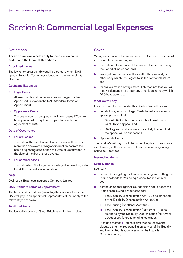# Section 8: **Commercial Legal Expenses**

# **Definitions**

**These definitions which apply to this Section are in addition to the General Definitions.**

# **Appointed Lawyer**

The lawyer or other suitably qualified person, whom DAS appoint to act for You in accordance with the terms of this Section.

# **Costs and Expenses**

# **a Legal Costs**

 All reasonable and necessary costs charged by the Appointed Lawyer on the DAS Standard Terms of Appointment.

#### **b Opponents Costs**

 The costs incurred by opponents in civil cases if You are legally required to pay them, or pay them with the agreement of DAS.

#### **Date of Occurrence**

# **a For civil cases**

 The date of the event which leads to a claim. If there is more than one event arising at different times from the same originating cause, then the Date of Occurrence is the date of the first of these events.

# **b For criminal cases**

 The date when You began or are alleged to have begun to break the criminal law in question.

#### **DAS**

DAS Legal Expenses Insurance Company Limited.

#### **DAS Standard Terms of Appointment**

The terms and conditions (including the amount of fees that DAS will pay to an appointed Representative) that apply to the relevant type of claim.

# **Territorial limits**

The United Kingdom of Great Britain and Northern Ireland.

# **Cover**

We agree to provide the insurance in this Section in respect of an Insured Incident as long as:

- **a** the Date of Occurrence of the Insured Incident is during the Period of Insurance; and
- **b** any legal proceedings will be dealt with by a court, or other body which DAS agree to, in the Territorial Limits; and
- **c** for civil claims it is always more likely than not that You will recover damages (or obtain any other legal remedy which DAS have agreed to).

#### **What We will pay**

For an Insured Incident under this Section We will pay Your:

- **a** Legal Costs, including Legal Costs to make or defend an appeal provided that:
	- **i** You tell DAS within the time limits allowed that You want DAS to appeal; and
	- **ii** DAS agree that it is always more likely than not that the appeal will be successful;
- **b** Opponents Costs;

The most We will pay for all claims resulting from one or more event arising at the same time or from the same originating cause is £100,000.

# **Insured Incidents**

#### **Legal Defence**

DAS will:

- **a** defend Your legal rights if an event arising from letting the Premises leads to You being prosecuted in a criminal court;
- **b** defend an appeal against Your decision not to adapt the Premises following a request under:
	- **i** The Disability Discrimination Act 1995 as amended by the Disability Discrimination Act 2005;
	- **ii** The Housing (Scotland) Act 2006;
	- **iii** The Disability Discrimination (NI) Order 1995 as amended by the Disability Discrimination (NI) Order 2006; or any future amending legislation.

 Provided that for **b** You have first tried to resolve the dispute using the free conciliation service of the Equality and Human Rights Commission or the Equality Commission (NI).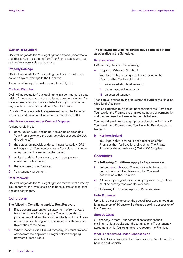# **Eviction of Squatters**

DAS will negotiate for Your legal rights to evict anyone who is not Your tenant or ex-tenant from Your Premises and who has not got Your permission to be there.

# **Property Damage**

DAS will negotiate for Your legal rights after an event which causes physical damage to the Premises.

The amount in dispute must be more than £1,000.

# **Contract Disputes**

DAS will negotiate for Your legal rights in a contractual dispute arising from an agreement or an alleged agreement which You have entered into by or on Your behalf for buying or hiring of any goods or services in relation to Your Premises.

Provided You have made the agreement during the Period of Insurance and the amount in dispute is more than £100.

# **What is not covered under Contract Disputes.**

A dispute relating to:

- **1** construction work, designing, converting or extending Your Premises where the contract value exceeds £5,000 (including VAT);
- **2** the settlement payable under an insurance policy (DAS will negotiate if Your insurer refuses Your claim, but not for a dispute over the amount of the claim);
- **3** a dispute arising from any loan, mortgage, pension, investment or borrowing;
- **4** the purchase of the Premises;
- **5** Your tenancy agreement.

#### **Rent Recovery**

DAS will negotiate for Your legal rights to recover rent owed by Your tenant for the Premises if it has been overdue for at least one calendar month.

# **Conditions**

# **The following Conditions apply to Rent Recovery**

- **1** If You accept payment (or part payment) of rent arrears from the tenant of Your property, You must be able to provide proof that You have warned the tenant that it does not prevent You taking further action against them under this section of the policy.
- **2** Where the tenant is a limited company, you must first seek advice from the Appointed Lawyer before accepting payment of rent arrears.

# **The following Insured Incident is only operative if stated as operative in the Schedule.**

#### **Repossession**

DAS will negotiate for the following:

**a** England, Wales and Scotland

 Your legal rights in trying to get possession of the Premises that You have let under:

- **i** an assured shorthold tenancy;
- **ii** a short assured tenancy; or
- **iii** an assured tenancy.

These are all defined by the Housing Act 1988 or the Housing (Scotland) Act 1988.

Your legal rights in trying to get possession of the Premises if You have let the Premises to a limited company or partnership and the Premises has been let for people to live in.

Your legal rights in trying to get possession of the Premises if You have let the Premises and You live in the Premises as the landlord.

# **b Northern Ireland**

 Your legal rights in trying to get possession of the Premises that You have let and to which The Private Tenancies (Northern Ireland) Order 2006 applies.

# **Conditions**

# **The following Conditions apply to Repossession.**

- **i** For both **a** and **b** above You must give the tenant the correct notices telling him or her that You want possession of the Premises.
- **ii** All posted pre-agent notices and pre-proceeding notices must be sent by recorded delivery post.

# **The following Extensions apply to Repossession**

# **Hotel Expenses**

Up to £150 per day to cover the cost of Your accommodation for a maximum of 30 days while You are seeking possession of the Premises.

# **Storage Costs**

£10 per day to store Your personal possessions for a maximum of four weeks after the termination of Your tenancy agreement while You are unable to reoccupy the Premises.

# **What is not covered under Repossession**

Any claim to repossess the Premises because Your tenant has behaved anti-socially.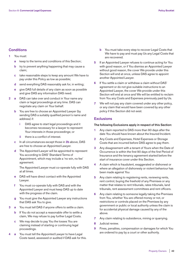# **Conditions**

- **1** You must:
	- **a** keep to the terms and conditions of this Section;
	- **b** try to prevent anything happening that may cause a claim;
	- **c** take reasonable steps to keep any amount We have to pay under this Policy as low as possible;
	- **d** send everything DAS reasonably ask for, in writing;
	- **e** give DAS full details of any claim as soon as possible and give DAS any information DAS need.
- **2 a** DAS can take over and conduct in Your name any claim or legal proceedings at any time. DAS can negotiate any claim on Your behalf.
	- **b** You are free to choose an Appointed Lawyer (by sending DAS a suitably qualified person's name and address) if:
		- **i** DAS agree to start legal proceedings and it becomes necessary for a lawyer to represent Your interests in those proceedings; or
		- **ii** there is a conflict of interest.
	- **c** In all circumstances except those in **2b** above, DAS are free to choose an Appointed Lawyer.
	- **d** The Appointed Lawyer will be appointed to represent You according to DAS' Standard Terms of Appointment, which may include a 'no win, no fee' agreement.

 The Appointed Lawyer must co-operate fully with DAS at all times.

- **e** DAS will have direct contact with the Appointed Lawyer.
- **f** You must co-operate fully with DAS and with the Appointed Lawyer and must keep DAS up to date with the progress of the claim.
- **g** You must give the Appointed Lawyer any instructions that DAS ask You to give.
- **3 a** You must tell DAS if anyone offers to settle a claim.
	- **b** If You do not accept a reasonable offer to settle a claim, We may refuse to pay further Legal Costs.
	- **c** We may decide to pay You the losses You are claiming instead of starting or continuing legal proceedings.
- **4 a** You must tell the Appointed Lawyer to have Legal Costs taxed, assessed or audited if DAS ask for this.
- **b** You must take every step to recover Legal Costs that We have to pay and must pay Us any Legal Costs that are recovered.
- **5** If an Appointed Lawyer refuses to continue acting for You with good reason, or if You dismiss an Appointed Lawyer without good reason, the cover We provide under this Section will end at once, unless DAS agree to appoint another Appointed Lawyer.
- **6** If You settle a claim or withdraw a claim without DAS' agreement or do not give suitable instructions to an Appointed Lawyer, the cover We provide under this Section will end at once and We will be entitled to reclaim from You any Costs and Expenses previously paid by Us.
- **7** We will not pay any claim covered under any other policy, or any claim that would have been covered by any other policy if this Section did not exist.

# **Exclusions**

# **The following Exclusions apply in respect of this Section:**

- **1** Any claim reported to DAS more than 90 days after the date You should have known about the Insured Incident.
- **2** Any Costs and Expenses, Hotel Expenses or Storage Costs that are incurred before DAS agree to pay them.
- **3** Any disagreement with a tenant of Yours when the Date of Occurrence is within the first 90 days of the first Period of Insurance and the tenancy agreement started before the start of insurance cover under this Section.
- **4** A claim which is fraudulent, exaggerated or dishonest or where an allegation of dishonesty or violent behaviour has been made against You
- **5** Any claim relating to registering rents, reviewing rents, rent control, buying the freehold of any Premises or any matter that relates to rent tribunals, rates tribunals, land tribunals, rent assessment committees and rent officers.
- **6** Any claim relating to someone legally taking the Premises from You, whether You are offered money or not, or restrictions or controls placed on the Premises by any government or public or local authority unless the claim is for accidental physical damage caused by any of the above.
- **7** Any claim relating to subsidence, mining or quarrying.
- **8** Judicial review.
- **9** Fines, penalties, compensation or damages for which You are ordered to pay by a court or other authority.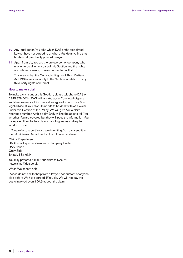- **10** Any legal action You take which DAS or the Appointed Lawyer have not agreed to or where You do anything that hinders DAS or the Appointed Lawyer.
- **11** Apart from Us, You are the only person or company who may enforce all or any part of this Section and the rights and interests arising from or connected with it.

 This means that the Contracts (Rights of Third Parties) Act 1999 does not apply to the Section in relation to any third-party rights or interest.

# **How to make a claim**

To make a claim under this Section, please telephone DAS on 0345 878 5024. DAS will ask You about Your legal dispute and if necessary call You back at an agreed time to give You legal advice. If Your dispute needs to be dealt with as a claim under this Section of the Policy, We will give You a claim reference number. At this point DAS will not be able to tell You whether You are covered but they will pass the information You have given them to their claims handling teams and explain what to do next.

If You prefer to report Your claim in writing, You can send it to the DAS Claims Department at the following address:

Claims Department DAS Legal Expenses Insurance Company Limited DAS House Quay Side Bristol, BS1 6NH

You may prefer to e-mail Your claim to DAS at: newclaims@das.co.uk

When We cannot help

Please do not ask for help from a lawyer, accountant or anyone else before We have agreed. If You do, We will not pay the costs involved even if DAS accept the claim.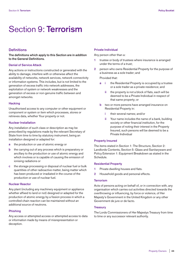# Section 9: **Terrorism**

# **Definitions**

**The definitions which apply to this Section are in addition to the General Definitions.**

# **Denial of Service Attack**

Any actions or instructions constructed or generated with the ability to damage, interfere with or otherwise affect the availability of networks, network services, network connectivity or information systems. This includes, but is not limited to the generation of excess traffic into network addresses, the exploitation of system or network weaknesses and the generation of excess or non-genuine traffic between and amongst networks.

#### **Hacking**

Unauthorised access to any computer or other equipment or component or system or item which processes, stores or retrieves data, whether Your property or not.

# **Nuclear Installation**

Any installation of such class or description as may be prescribed by regulations made by the relevant Secretary of State from time to time by statutory instrument, being an installation designed or adapted for:

- **a** the production or use of atomic energy or
- **b** the carrying out of any process which is preparatory or ancillary to the production or use of atomic energy and which involves or is capable of causing the emission of ionising radiations or
- **c** the storage processing or disposal of nuclear fuel or bulk quantities of other radioactive matter, being matter which has been produced or irradiated in the course of the production or use of nuclear fuel.

# **Nuclear Reactor**

Any plant (including any machinery equipment or appliance whether affixed to land or not) designed or adapted for the production of atomic energy by a fission process in which a controlled chain reaction can be maintained without an additional source of neutrons.

#### **Phishing**

Any access or attempted access or attempted access to data or information made by means of misrepresentation or deception.

## **Private Individual**

Any person other than a:

- **1** trustee or body of trustees where insurance is arranged under the terms of a trust;
- **2** person who owns Residential Property for the purpose of a business as a sole trader; and

Provided that:

- **a i** the Residential Property is occupied by a trustee or a sole trader as a private residence; and
	- the property is not a block of flats, each will be deemed to be a Private Individual in respect of that same property; or
- **b** two or more persons have arranged insurance on Residential Property in:
	- **i** their several names; and/or
	- **ii** Your name includes the name of a bank, building society or other financial institution, for the purpose of noting their interest in the Property Insured, such persons will be deemed to be a Private Individual

#### **Property Insured**

The items stated in Section 1: The Structure, Section 2: Landlords Contents, Section 5: Glass and Sanitaryware and Policy Extension 1: Equipment Breakdown as stated in the Schedule.

### **Residential Property**

- **1** Private dwelling houses and flats.
- **2** Household goods and personal effects.

#### **Terrorism**

Acts of persons acting on behalf of, or in connection with, any organisation which carries out activities directed towards the overthrowing or influencing, by force or violence, of Her Majesty's Government in the United Kingdom or any other Government de jure or de facto.

# **Treasury**

The Lords Commissioners of Her Majestys Treasury from time to time or any successor relevant authority.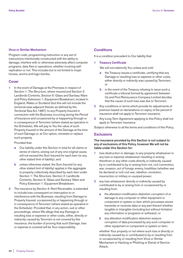# **Virus or Similar Mechanism**

Program code, programming instruction or any set of instructions intentionally constructed with the ability to damage, interfere with or otherwise adversely affect computer programs, data files or operations, whether involving selfreplication or not. This includes but is not limited to trojan horses, worms and logic bombs.

# **Cover**

**1** In the event of Damage at the Premises in respect of Section 1: The Structure, where insured and Section 2: Landlords Contents, Section 5: Glass and Sanitary Ware and Policy Extension 1: Equipment Breakdown; located in England, Wales or Scotland (but this will not include the territorial seas adjacent thereto as defined by the Territorial Sea Act 1987), to any Property Insured in connection with the Business occurring during the Period of Insurance and occasioned by or happening through or in consequence of Terrorism (where stated as operative in the Schedule), We will pay to You the value of such Property Insured or the amount of the Damage at the time of such Damage or, at Our option, reinstate or replace such property.

Provided that:

- **a** Our liability under this Section in total for all claims or series of claims, arising out of any one original cause, will not exceed the Sum Insured for each item (or any other stated limit of liability); and
- **b** unless otherwise stated, the Sum Insured (or any other stated limit of liability) applies in the aggregate to property collectively described by each item under Section 1: The Structure, Section 2: Landlords Contents, Section 5: Glass and Sanitary Ware and Policy Extension 1: Equipment Breakdown.
- **2** The insurance by Section 4: Rent Receivable, is extended to include loss consequent on interruption to or interference with the Business, resulting from Damage to Property Insured, occasioned by or happening through or in consequence of Terrorism (where stated as operative in the Schedule). Provided that, in any action, suit or other proceedings, where We allege that any Damage or resulting loss or expense or other costs, either, directly or indirectly caused by Terrorism is not covered by this insurance, the burden of proving that such Damage, loss or expense is covered will be Your responsibility.

# **Conditions**

It is a condition precedent to Our liability that:

**1 Treasury Certificate**

We will not indemnify You unless and until:

- **a** the Treasury issues a certificate, certifying that any Damage or resulting loss or expense or other costs, either directly or indirectly was caused by Terrorism; or
- **b** in the event of the Treasury refusing to issue such a certificate a tribunal formed by agreement between Us and Pool Reinsurance Company Limited decides that the cause of such loss was due to Terrorism.
- **2** Any conditions or terms which provide for adjustments of premium based on declarations on expiry of the period of insurance shall not apply to Terrorism insurance.
- **3** Any Long Term Agreement applying to this Policy shall not apply to Terrorism insurance.

Subject otherwise to all the terms and conditions of this Policy.

# **Exclusions**

# **The insurance provided by this Section is not subject to any of exclusions of this Policy, however We will not be liable under this Section for:**

- **1** loss destruction or damage, to any property whatsoever or any loss or expense whatsoever resulting or arising therefrom or any other costs directly or indirectly caused by or contributed to by or arising from riot, civil commotion, war, invasion, act of foreign enemy, hostilities (whether war be declared or not) civil war, rebellion, revolution, insurrection or military or usurped power;
- **2** any loss whatsoever directly or indirectly caused by contributed to by or arising from or occasioned by or resulting from:
	- **a** the alteration modification distortion corruption of or damage to any computer or other equipment or component or system or item which processes stores transmits or receives data or any part thereof whether tangible or intangible (including but without limitation any information or programs or software); or
	- **b** any alteration modification distortion erasure corruption of data processed by any such computer or other equipment or component or system or item;

 whether Your property or not where such loss is directly or indirectly caused by or contributed to by or resulting from or occasioned by or resulting from Virus or Similar Mechanism or Hacking or Phishing or Denial of Service Attack;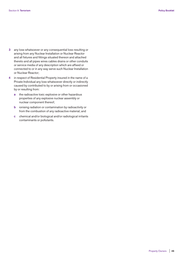- **3** any loss whatsoever or any consequential loss resulting or arising from any Nuclear Installation or Nuclear Reactor and all fixtures and fittings situated thereon and attached thereto and all pipes wires cables drains or other conduits or service media of any description which are affixed or connected to or in any way serve such Nuclear Installation or Nuclear Reactor;
- **4** in respect of Residential Property insured in the name of a Private Individual any loss whatsoever directly or indirectly caused by contributed to by or arising from or occasioned by or resulting from:
	- **a** the radioactive toxic explosive or other hazardous properties of any explosive nuclear assembly or nuclear component thereof;
	- **b** ionising radiation or contamination by radioactivity or from the combustion of any radioactive material; and
	- **c** chemical and/or biological and/or radiological irritants contaminants or pollutants.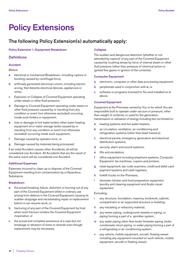# **Policy Extensions**

# **The following Policy Extension(s) automatically apply:**

### **Policy Extension 1: Equipment Breakdown**

# **Definitions**

# **Accident**

# Means:

- **a** electrical or mechanical Breakdown, including rupture or bursting caused by centrifugal force;
- **b** artificially generated electrical current, including electric arcing, that disturbs electrical devices, appliances or wires;
- **c** Explosion or Collapse of Covered Equipment operating under steam or other fluid pressure;
- **d** Damage to Covered Equipment operating under steam or other fluid pressure caused by or resulting from any condition or event (not otherwise excluded) occurring inside such boilers or equipment;
- **e** loss or damage to hot water boilers other water heating equipment oil or water storage tanks caused by or resulting from any condition or event (not otherwise excluded) occurring inside such equipment;
- **f** Damage caused by operator error; or
- **g** Damage caused by materials being processed.

If an initial Accident causes other Accidents, all will be considered one Accident. All Accidents that are the result of the same event will be considered one Accident.

# **Additional Expenses**

Expenses incurred to clean up or dispose of the Covered Equipment resulting from contamination by a Hazardous Substance.

#### **Breakdown**

- **a** the actual breaking, failure, distortion or burning out of any part of the Covered Equipment whilst in ordinary use arising from defects in the Covered Equipment causing its sudden stoppage and necessitating repair or replacement before it can resume work; or
- **b** fracturing of any part of the Covered Equipment by frost when such fracture renders the Covered Equipment inoperative; or
- **c** the actual and complete severance of a rope but not breakage or abrasion of wires or strands even though replacement may be necessary.

#### **Collapse**

The sudden and dangerous distortion (whether or not attended by rupture) of any part of the Covered Equipment caused by crushing stress by force of internal steam or other fluid pressure (other than pressure of chemical action or ignited flue gases or ignition of the contents).

# **Computer Equipment**

- **a** electronic, computer or other data processing equipment;
- **b** peripherals used in conjunction with **a**; or
- **c** software or programs licensed to You and installed on **a** above.

# **Covered Equipment**

Equipment at the Premises owned by You or for which You are responsible built to operate under vacuum or pressure, other than weight of contents, or used for the generation, transmission or utilisation of energy including but not limited to:

- **a** heating systems and hot water heaters;
- **b** air circulation, ventilation, air conditioning and refrigeration systems (other than blast freezers);
- **c** electrical panels, emergency generators and electrical distribution systems;
- **d** security, alarm and sound systems;
- **e** lifts and escalators;
- **f** office equipment including telephone systems, Computer Equipment, fax machines, copiers and printers;
- **g** retail equipment, bar code scanners, credit and debit card payment systems and cash registers;
- **h** forklift trucks on the Premises;
- **i** domestic kitchen and food preparation equipment, laundry and cleaning equipment and Audio visual equipment.

# Excluding:

- **i** any structure, foundation, masonry, brickwork, cabinet, compartment or air supported structure or building;
- **ii** any insulating or refractory material;
- **iii** any sewer piping, underground vessels or piping, or piping forming a part of a sprinkler system;
- **iv** any water piping other than boiler firewater piping, boiler condensate return piping or water piping forming a part of a refrigerating or air conditioning system;
- **v** any vehicle, mobile equipment, aircraft, floating vessel including any equipment mounted on such vehicle, mobile equipment, aircraft or floating vessel;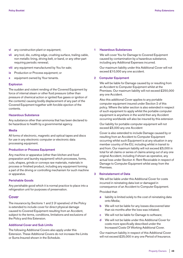- **vi** any construction plant or equipment;
- **vii** any tool, die, cutting edge, crushing surface, trailing cable, non metallic lining, driving belt, or band, or any other part requiring periodic renewal;
- **viii** any equipment manufactured by You for sale;
- **ix** Production or Process equipment; or
- **x** equipment owned by Your tenants.

#### **Explosion**

The sudden and violent rending of the Covered Equipment by force of internal steam or other fluid pressure (other than pressure of chemical action or ignited flue gases or ignition of the contents) causing bodily displacement of any part of the Covered Equipment together with forcible ejection of the contents.

# **Hazardous Substance**

Any substance other than ammonia that has been declared to be hazardous to health by a governmental agency.

#### **Media**

All forms of electronic, magnetic and optical tapes and discs for use in any electronic computer or electronic data processing equipment.

# **Production or Process Equipment**

Any machine or apparatus (other than kitchen and food preparation and laundry equipment) which processes, forms, cuts, shapes, grinds or conveys raw materials, materials in process or finished product, including any equipment forming a part of the driving or controlling mechanism for such machine or apparatus.

# **Perishable Goods**

Any perishable good which it is normal practice to place into a refrigeration unit for purposes of preservation.

# **Cover**

The insurance by Sections 1 and 2 (if operative) of the Policy is extended to include cover for direct physical damage caused to Covered Equipment resulting from an Accident, subject to the terms, conditions, limitations and exclusions of the Policy and this Extension.

### **Additional Cover and Sub Limits**

The following Additional Covers also apply under this Extension. These Additional Covers do not increase the Limits or Sums Insured shown in the Schedule.

#### **1 Hazardous Substances**

 We will cover You for Damage to Covered Equipment caused by contamination by a hazardous substance, including any Additional Expenses incurred.

 Our maximum liability under this Additional Cover will not exceed £10,000 any one accident.

#### **2 Computer Equipment**

 We will be liable for Damage caused by or resulting from an Accident to Computer Equipment whilst at the Premises. Our maximum liability will not exceed £250,000 any one Accident.

 Also this additional Cover applies to any portable computer equipment insured under Section 2 of this policy. Where the latter section is also extended in respect of such equipment to apply whilst the portable computer equipment is anywhere in the world then any Accident occurring worldwide will also be insured by this extension

 Our liability for portable computer equipment will not exceed £5,000 any one Accident

 Cover is also extended to include Damage caused by or resulting from an Accident to Computer Equipment occurring whilst such Equipment is at any situation in any member country of the EU, including whilst in transit to and from. Our maximum liability will not exceed £5,000 in total for all claims or series of claims arising out of any one original Accident, including if shown as operative, any actual loss under Section 4: Rent Receivable in respect of Damage to Computer Equipment whilst away from the Premises.

# **3 Reinstatement of Data**

 We will be liable under this Additional Cover for costs incurred in reinstating data lost or damaged in consequence of an Accident to Computer Equipment.

Provided that:

- **a** liability is limited solely to the cost of reinstating data onto Media;
- **b** We will not be liable for any losses discovered later than six months after the loss was initiated;
- **c** We will not be liable for Damage to software;
- **d** We will not be liable under this Additional Cover for costs more specifically described under the Increased Costs Of Working Additional Cover.

 Our maximum liability in respect of this Additional Cover will not exceed £25,000 in any one Period of Insurance.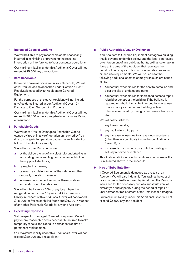#### **4 Increased Costs of Working**

 We will be liable to pay reasonable costs necessarily incurred in minimising or preventing the resulting interruption or interference to Your computer operations.

 Our maximum liability under this Additional Cover will not exceed £25,000 any one accident.

#### **5 Rent Receivable**

 If cover is shown as operative in Your Schedule, We will cover You for loss as described under Section 4 Rent Receivable caused by an Accident to Covered Equipment.

 For the purposes of this cover Accident will not include any Accidents insured under Additional Cover 12 - Damage to Own Surrounding Property

 Our maximum liability under this Additional Cover will not exceed £30,000 in the aggregate during any one Period of Insurance.

# **6 Perishable Goods**

 We will cover You for Damage to Perishable Goods owned by You or in any refrigeration unit owned by You due to change in temperature caused by an Accident or failure of the electricity supply.

We will not cover Damage caused:

- **a** by the deliberate act of any electricity undertaking in terminating disconnecting restricting or withholding the supply of electricity;
- **b** by neglect or misuse:
- **c** by wear, tear, deterioration of the cabinet or other gradually operating cause; or
- **d** as a result of incorrect setting of thermostats or automatic controlling devices.

 We will not be liable for 20% of any loss where the refrigeration unit is over 10 years old. Our maximum liability in respect of this Additional Cover will not exceed £15,000 for frozen or chilled foods and £5,000 in respect of any other Perishable Goods for any one Accident.

# **7 Expediting Expenses**

 With respect to damaged Covered Equipment, We will pay for any reasonable costs necessarily incurred to make temporary repairs and expedite permanent repairs or permanent replacement.

 Our maximum liability under this Additional Cover will not exceed £20,000 any one accident.

#### **8 Public Authorities/Law or Ordinance**

 If an Accident to Covered Equipment damages a building that is covered under this policy; and the loss is increased by enforcement of any public authority, ordinance or law in force at the time of the Accident that regulates the construction or repair of buildings, or establishes zoning or land use requirements, We will be liable for the following additional costs to comply with such ordinance or law:

- **a** Your actual expenditures for the cost to demolish and clear the site of undamaged parts.
- **b** Your actual expenditures for increased costs to repair, rebuild or construct the building. If the building is repaired or rebuilt, it must be intended for similar use or occupancy as the current building, unless otherwise required by zoning or land use ordinance or law.

We will not be liable for:

- **i** any fine or penalty;
- **ii** any liability to a third party;
- **iii** any increase in loss due to a hazardous substance (other than as specifically insured under Additional Cover 1); or
- **iv** increased construction costs until the building is actually repaired or replaced.

 This Additional Cover is within and does not increase the Sum Insured shown in the schedule.

# **9 Hire of Substitute Item**

 If Covered Equipment is damaged as a result of an Accident We will also indemnify You against the cost of hire charges actually incurred by You during the Period of Insurance for the necessary hire of a substitute item of similar type and capacity during the period of repair or until permanent replacement of the item lost or damaged.

 Our maximum liability under this Additional Cover will not exceed £5,000 any one accident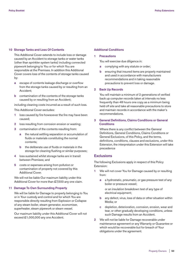# **10 Storage Tanks and Loss Of Contents**

 This Additional Cover extends to include loss or damage caused by an Accident to storage tanks or water tanks (other than sprinkler system tanks) including connected pipework belonging to You or for which You are responsible at the Premises. In addition this Additional Cover covers loss of the contents of storage tanks caused by:

- **a** escape of contents leakage discharge or overflow from the storage tanks caused by or resulting from an Accident;
- **b** contamination of the contents of the storage tanks caused by or resulting from an Accident;

including cleaning costs incurred as a result of such loss.

This Additional Cover excludes:

- **1** loss caused by fire howsoever the fire may have been caused;
- **2** loss resulting from corrosion erosion or wasting;
- **3** contamination of the contents resulting from:
	- **a** the natural settling separation or accumulation of fluids or materials constituting the normal contents;
	- **b** the deliberate use of fluids or materials in the storage for cleaning flushing or similar purposes;
- **4** loss sustained whilst storage tanks are in transit between Premises; and
- **5** costs or expenses arising from pollution or contamination of property not covered by this Additional Cover.

 We will not be liable Our maximum liability under this Additional Cover for more than £7,500 any one claim.

#### **11 Damage To Own Surrounding Property**

 We will be liable for Damage to property belonging to You or in Your custody and control and for which You are responsible directly resulting from Explosion or Collapse of any steam boiler, steam generator, economiser, superheater, steam pipework or steam vessel.

 Our maximum liability under this Additional Cover will not exceed £1,000,000 any one Accident.

### **Additional Conditions**

# **1 Precautions**

You will exercise due diligence in:

- **a** complying with any statute or order;
- **b** ensuring that insured items are properly maintained and used in accordance with manufacturers recommendations and in taking reasonable precautions to prevent loss or damage.

# **2 Back Up Records**

 You will maintain a minimum of 2 generations of verified back up computer records taken at intervals no less frequently than 48 hours one copy as a minimum being held off site and take all reasonable precautions to store and maintain records in accordance with the maker's recommendations.

# **3 General Definitions, Claims Conditions or General Conditions**

 Where there is any conflict between the General Definitions, General Conditions, Claims Conditions or General Exclusions, of this Policy, and the terms, definitions, conditions, clauses and exclusions, under this Extension, the interpretation under this Extension will take precedence

# **Exclusions**

The following Exclusions apply in respect of this Policy Extension:

- **1** We will not cover You for Damage caused by or resulting from:
	- **a** a hydrostatic, pneumatic, or gas pressure test of any boiler or pressure vessel;

 or an insulation breakdown test of any type of electrical equipment;

- **b** any defect, virus, loss of data or other situation within Media; or
- **c** depletion, deterioration, corrosion, erosion, wear and tear, or other gradually developing conditions, unless such Damage results from an Accident.
- **2** We will not be liable for Damage recoverable under maintenance agreement or any Warranty or Guarantee or which would be recoverable but for breach of Your obligations under the agreement.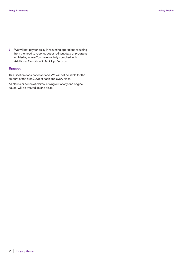**3** We will not pay for delay in resuming operations resulting from the need to reconstruct or re-input data or programs on Media, where You have not fully complied with Additional Condition 2 Back Up Records.

# **Excess**

This Section does not cover and We will not be liable for the amount of the first £200 of each and every claim.

All claims or series of claims, arising out of any one original cause, will be treated as one claim.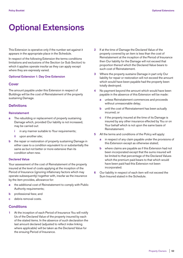# **Optional Extensions**

This Extension is operative only if the number set against it appears in the appropriate place in the Schedule.

In respect of the following Extension the terms conditions limitations and exclusions of the Section (or Sub Section) to which it applies operate insofar as they can apply except where they are expressly varied.

### **Optional Extension 1: Day One Extension**

# **Cover**

The amount payable under this Extension in respect of Buildings will be the cost of Reinstatement of the property sustaining Damage.

# **Definitions**

# **Reinstatement**

- **a** The rebuilding or replacement of property sustaining Damage which, provided Our liability is not increased, may be carried out:
	- **i** in any manner suitable to Your requirements;
	- **ii** upon another site;
- **b** the repair or restoration of property sustaining Damage in either case to a condition equivalent to or substantially the same as but not better or more extensive than its condition when new.

# **Declared Value**

Your assessment of the cost of Reinstatement of the property insured at the level of costs applying at the inception of the Period of Insurance (ignoring inflationary factors which may operate subsequently) together with, insofar as the insurance by the item provides, allowance for:

- **a** the additional cost of Reinstatement to comply with Public Authority requirements;
- **b** professional fees; and
- **c** debris removal costs.

# **Conditions**

**1** At the inception of each Period of Insurance You will notify Us of the Declared Value of the property insured by each of the stated items. In the absence of such declaration the last amount declared (adjusted to reflect index linking where applicable) will be taken as the Declared Value for the ensuing Period of Insurance.

- **2** If at the time of Damage the Declared Value of the property covered by an item is less than the cost of Reinstatement at the inception of the Period of Insurance then Our liability for the Damage will not exceed that proportion thereof which the Declared Value bears to such cost of Reinstatement.
- **3** Where the property sustains Damage in part only Our liability for repair or restoration will not exceed the amount which would have been payable had the property been totally destroyed.
- **4** No payment beyond the amount which would have been payable in the absence of this Extension will be made:
	- **a** unless Reinstatement commences and proceeds without unreasonable delay;
	- **b** until the cost of Reinstatement has been actually incurred; or
	- **c** if the property insured at the time of its Damage is insured by any other insurance effected by You or on Your behalf which is not upon the same basis of Reinstatement.
- **5** All the terms and conditions of the Policy will apply:
	- **a** in respect of any claim payable under the provisions of this Extension except as otherwise stated;
	- **b** where claims are payable as if this Extension had not been incorporated except that the sums insured will be limited to that percentage of the Declared Values which the premium paid bears to that which would have been paid had this Extension not been incorporated.
- **6** Our liability in respect of each item will not exceed the Sum Insured stated in the Schedule.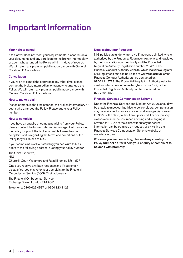# **Important Information**

# **Your right to cancel**

If this cover does not meet your requirements, please return all your documents and any certificate to the broker, intermediary or agent who arranged the Policy within 14 days of receipt. We will return any premium paid in accordance with General Condition D Cancellation.

# **Cancellation**

If you wish to cancel the contract at any other time, please contact the broker, intermediary or agent who arranged the Policy. We will return any premium paid in accordance with General Condition D Cancellation.

# **How to make a claim**

Please contact, in the first instance, the broker, intermediary or agent who arranged the Policy. Please quote your Policy number.

# **How to complain**

If you have an enquiry or complaint arising from your Policy, please contact the broker, intermediary or agent who arranged the Policy for you. If the broker is unable to resolve your complaint or it is regarding the terms and conditions of the Policy they will refer it to NIG.

If your complaint is still outstanding you can write to NIG direct at the following address, quoting your policy number.

The Chief Executive,

NIG

Churchill Court Westmoreland Road Bromley BR1 1DP

Once you receive a written response and if you remain dissatisfied, you may refer your complaint to the Financial Ombudsman Service (FOS). Their address is:

The Financial Ombudsman Service Exchange Tower London E14 9SR

Telephone: **0800 023 4567** or **0300 123 9123**.

# **Details about our Regulator**

NIG policies are underwritten by U K Insurance Limited who is authorised by the Prudential Regulation Authority and regulated by the Financial Conduct Authority and the Prudential Regulation Authority, registration number 202810. The Financial Conduct Authority website, which includes a register of all regulated firms can be visited at **www.fca.org.uk**, or the Financial Conduct Authority can be contacted on **0800 111 6768**. The Prudential Regulation Authority website can be visited at **www.bankofengland.co.uk/pra**, or the Prudential Regulation Authority can be contacted on **020 7601 4878**.

# **Financial Services Compensation Scheme**

Under the Financial Services and Markets Act 2000, should we be unable to meet our liabilities to policyholders, compensation may be available. Insurance advising and arranging is covered for 90% of the claim, without any upper limit. For compulsory classes of insurance, insurance advising and arranging is covered for 100% of the claim, without any upper limit. Information can be obtained on request, or by visiting the Financial Services Compensation Scheme website at www.fscs.org.uk

**Whoever you are contacting, please always quote your Policy Number as it will help your enquiry or complaint to be dealt with promptly.**